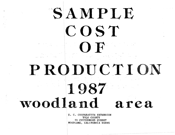# SAMPLE COST OF

## PRODUCTION

### 1987 woodland area

U. C. COOPERATIVE EXTENSION YOLO COUNTY 70 COTTONWOOD STREET WOODLAND, CALIFORNIA 95695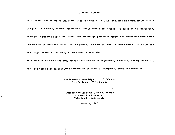#### ACKNOWLEDGEMENTS

This Sample Cost of Production Study, Woodland Area - 1987, is developed in consultation with a group of Yolo County farmer cooperators. Their advice and counsel on crops to be considered, acreages, equipment needs and usage, and production practices formed the foundation upon which the enterprise study was based. We are grateful to each of them for volunteering their time and knowledge for making the study as practical as possible.

We also wish to thank the many people from industries (equipment, chemical, energy,financial,

etc.) for their help in providing information on costs of equipment, money and materials.

Tom Kearney - Gene Miyao - Carl Schoner Farm Advisors - Yolo County

Prepared by University of California Cooperative Extension Yolo County, California

January, 1987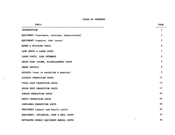#### TABLE OF CONTENTS

| <b>TOPIC</b>                                  | <b>PAGE</b>      |
|-----------------------------------------------|------------------|
| <b>INTRODUCTION</b>                           | 1                |
| EQUIPMENT (insurance, interest, depreciation) | $\boldsymbol{2}$ |
| EQUIPMENT (repairs, fuel costs)               | 3                |
| WATER & BUILDING COSTS                        | 4                |
| LAND RENTS & LABOR COSTS                      | 5                |
| LABOR COSTS, LOAN INTEREST                    | 6                |
| GROSS FARM INCOME, MISCELLANEOUS COSTS        | 7                |
| SHARE RENTALS                                 | 8                |
| ALFALFA (cost to establish & destroy)         | 9                |
| ALFALFA PRODUCTION COSTS                      | 11               |
| FIELD CORN PRODUCTION COSTS                   | 13               |
| SUGAR BEET PRODUCTION COSTS                   | 17               |
| TOMATO PRODUCTION COSTS                       | 20               |
| WHEAT PRODUCTION COSTS                        | 25               |
| SUNFLOWER PRODUCTION COSTS                    | 28               |
| EQUIPMENT (annual and hourly costs)           | 32               |
| EQUIPMENT, SPRINKLER, PUMP & WELL COSTS       | 33               |
| ESTIMATED HOURLY EQUIPMENT RENTAL COSTS       | 34               |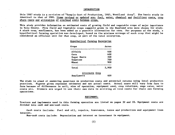#### INTRODUCTION

This 1987 study is a revision of "Sample Cost of Production, 1985, Woodland Area". The basic study is identical to that of 1985. Items revised or updated are: fuel, water, chemical and fertilizer costs, crop share rents and allocation of overhead costs between crops.

This study provides information on estimated costs of growing field and vegetable crops of major importance in Yolo County. Five field and vegetable crops commonly grown in the Woodland area were chosen for study. A sixth crop, sunflowers, has been added as a possible alternative for corn. For purposes of the study, a hypothetical farming operation was developed, based on the minimum acreage of each crop that might be considered an efficient unit for that crop, as part of the total enterprise.

#### Hypothetical Farming Enterprise

| Crops       | Acres |
|-------------|-------|
|             |       |
| Alfalfa     | 400   |
| Corn        | 600   |
| Sugar Beets | 300   |
| Tomatoes    | 700   |
| Wheat       | 900   |
|             |       |
| Total       | 2,900 |
|             |       |

| Alternate Crop |     |
|----------------|-----|
| Sunflowers     | 600 |

The study is aimed at answering questions on production costs and potential returns using local production practices. Figures given represent estimates and not actual costs. Actual costs will vary from farm to farm because of differences in soil, size of operation, equipment used, crop rotations, wage rates, water costs etc. Growers are urged to use their own data in arriving at true costs for their own farming operations.

#### EQUIPMENT:

Tractors and implements used in this farming operation are listed on pages 32 and 33. Equipment costs are divided into cash and non-cash costs.

Cash costs include: Fuel and oil, repairs, insurance, taxes and production and equipment loan interest.

Non-cash costs include: Depreciation and interest on investment in equipment.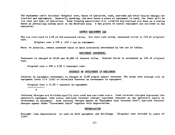The equipment table includes: Original cost, hours of operation, cash, non-cash and total hourly charges for tractors and implements. Generally speaking, the more hours. a piece of equipment is used, the lower will be its cost per hour of operation. Some farming operations (i.e. alfalfa harvesting) are done on a custom basis at prevailing custom rates in the Woodland area. A few pieces of rental equipment are utilized in the operation.

#### COUNTY EQUIPMENT TAX

The tax rate used is 1.2% of the assessed value. For this cost study, assessed value is 55% of original cost.

Original cost  $x$  55% x .012 = tax on equipment.

Note: In practice, county assessed value is more accurately determined by the use of tables.

#### EQUIPMENT INSURANCE:

Insurance is charged at \$5.00 per \$1,000 of insured value. Insured Value is estimated at 55% of original cost.

Original cost x 55% x  $0.5%$  = insurance cost.

#### INTEREST ON INVESTMENT IN EQUIPMENT

Interest on equipment investment is charged at 12.0% simple annual interest. The study uses average cost of equipment (over it's life) to calculate interest on investment in equipment.

Original Cost  $x$  12.0% = interest on equipment --------------2

Interest Charges are divided equally into cash and non-cash costs. Cash interest charges represent the operator's equipment loan costs; non-cash interest charges represent interest on the operator's equity or investment in equipment. Cash interest charges appear as "Equipment Loan Interest Cost"; non-cash interest charges appear under "Investment Costs" together with depreciation.

#### DEPRECIATION

Straight line depreciation is used on both equipment and buildings. (Original cost divided by years of life)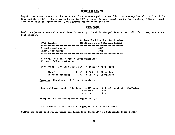#### EQUIPMENT REPAIRS

Repair costs are taken from University of California publication "Farm Machinery Costs", leaflet 2263 (revised May, 1981). Costs are adjusted to 1985 prices. Average repair costs for machinery life are used. When available and appropriate, local grower repair costs are used.

#### FUEL COSTS

Fuel requirements are calculated from University of California publication AXT 336, "Machinery Costs and Performance".

| Type Tractor                                                                 | Gallons Fuel Per Hour Per Drawbar<br>Horsepower at 75% Maximum Rating                        |
|------------------------------------------------------------------------------|----------------------------------------------------------------------------------------------|
| Diesel wheel engine<br>Diesel tracklayer                                     | .065<br>.075                                                                                 |
| Flywheel HP $x$ 86% = PTO HP (approximation)<br>PTO HP $x 86\% =$ drawbar HP |                                                                                              |
|                                                                              | Fuel Price + $10\%$ (for lube, oil & filters) = fuel costs                                   |
| Diesel                                                                       | $$.45 + $.045 = $.50/gallon$<br>Unleaded gasoline $$.89 + $.09 = $.98/gallon$                |
| Example: 144 drawbar HP diesel tracklayer:                                   |                                                                                              |
|                                                                              | 144 x 75% max. pull = 108 HP x 0.075 gal. = 8.1 gal. x \$0.50 = \$4.05/hr.<br>$hr. x HP$ hr. |

Example: 150 HP diesel wheel engine (PTO):

150 x 86% x 75% x 0.065 = 6.29 gal/hr. x  $$0.50 = $3.14/hr$ .

Pickup and truck fuel requirements are taken from University of California leaflet 2263.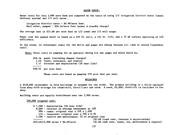#### WATER COSTS:

Water costs for this 2,900 acre fann are computed on the basis of using 1/2 irrigation district water (canal delivery system) and 1/2 well water.

Irrigation district water - \$9.99/acre foot. Well water, pumped - \$20.16/acre foot (power & standby charge)

The average cost is \$15.08 per acre foot on 1/2 canal and 1/2 well usage.

Power cost for pumped water is based on a 450 ft. well, a 125 ft. lift, and a 75 HP turbine operating at 65% efficiency.

In the study, no investment costs for the wells and pumps are charge because all land is rented (landowner cost).

Note: Total costs of pumping for an operator owning his own pumps and wells would be:

\$20.16 power (including demand charges) 1.42 taxes, insurance, and repairs 7.37 interest and depreciation (20 year life) <u>. . . . . . . .</u> \$28.95 per acre foot.

These costs are based on pumping 570 acre feet per year.

#### BUILDINGS

A \$150,000 investment in fann buildings is assumed for the study. The primary building is a fully equipped farm shop with storage for chemicals, fertilizer and seed. A used, \$5,000, forklift is included in the shop.

Building costs are equally distributed over the 2,900 acres.

150,000 original cost:

\$ 7,500 - depreciation (20 year life) 9,000 - interest on average investment at 12%. 990 - taxes• original cost x 55% x 1.20% 413 - insurance: original cost x 55% x 0.5% 1,500 - repairs and maintenance: 1% of original cost -------(\$5.69 fixed cost, interest & depreciation)<br>\$19.403/2.900 acres = \$6.69/acre (\$1.00 cash cost, taxes, ins.,maintenance &  $$1.00$  cash cost, taxes, ins.,maintenance & repairs)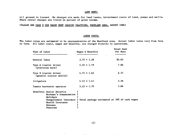#### LAND RENT:

All ground is leased. No charges are made for land taxes, investment costs of land, pumps and wells. Share rental charges are listed as percent of gross income.

(PLEASE SEE PAGE 8 FOR SHARE RENT LEASING PRACTICES, WOODLAND AREA, AUGUST 1986)

#### LABOR COSTS:

The labor rates are estimated to be representative of the Woodland area. Actual labor rates vary from farm to farm. All labor costs, wages and benefits, are charged directly to operations.

| Type of Labor                                                                                                       | Wages & Benefits | <b>Total Cost</b><br>Per Hour                                         |
|---------------------------------------------------------------------------------------------------------------------|------------------|-----------------------------------------------------------------------|
| General labor                                                                                                       | $3.75 + 1.28$    | \$5.03                                                                |
| Type A tractor driver<br>(precision work)                                                                           | $5.25 + 1.79$    | 7.04                                                                  |
| Type B tractor driver<br>(general tractor skills)                                                                   | $4.75 + 1.62$    | 6.37                                                                  |
| Irrigators                                                                                                          | $4.15 + 1.41$    | 5.56                                                                  |
| Tomato harvester operator                                                                                           | $5.25 + 1.79$    | 7.04                                                                  |
| Benefits: Social Security<br>Workman's Compensation )<br>Holidays<br>Health Insurance<br><b>Bonuses</b><br>Pensions |                  | Unemployment Insurance ) Total package estimated at 34% of cash wages |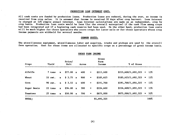#### PRODUCTION LOAN INTEREST COST:

All cash costs are funded by production loans. Production loans are reduced, during the year, as income is received from crop sales. It is assumed that income is received 30 days after crop harvest. Loan interest is charged at 12% simple annual interest. Loan interest calculations are made on an independent, crop by crop basis. Production loan costs would be less (for the overall enterprise) if the cash flow among crops had been integrated and if a beginning cash reserve had been used. On the other hand, production loan costs will be much higher for those operators who store crops for later sale or for those operators whose crop income payments are withheld for several months.

#### COMMON COSTS:

The miscellaneous equipment, miscellaneous labor and supplies, trucks and pickups are used by the overall farm operation. Cost for these items are allocated to specific crops on a percentage of gross income basis.

| Crops       | <b>Yield</b> |              | Price/<br>Unit | Acres |                             | Gross<br>Farm<br>Income | % of Gross                 |         |
|-------------|--------------|--------------|----------------|-------|-----------------------------|-------------------------|----------------------------|---------|
| Alfalfa     | 7 tons       | $\mathbf{x}$ | \$77.00 x      | 400   | $\overline{\phantom{a}}$    | \$215,600               | $$215,600/1,692,325 = 13%$ |         |
| Wheat       | 55 cwt.      | $\mathbf{x}$ | $$3.75$ x      | 900   | $\mathcal{M}_{\mathcal{A}}$ | \$185,625               | $$185,625/1,692,325 = 11%$ |         |
| Corn        | 90 cwt.      | $\mathbf{x}$ | $$3.55 \times$ | 600   | $\equiv$                    | \$191,700               | $$191,700/1,692,325 = 11%$ |         |
| Sugar Beets | 22 tons      | $\mathbf{x}$ | \$34.00 x      | 300   | $\equiv$                    | \$224,400               | $$224,400/1,692,325 = 13%$ |         |
| Tomatoes    | $25$ cons    | $\mathbf{x}$ | \$50.00 x      | 700   | $\mathbf{H}$                | \$875,000               | \$875,000/1,692,325        | $= 52%$ |
| TOTAL:      |              |              |                |       |                             | \$1,692,325             |                            | 100%    |

#### GROSS FARM INCOME

(6)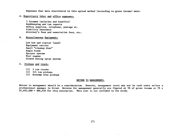Expenses that were distributed by this spread method (according to gross income) were:

#### A. Supervisory labor and office expenses:

3 foremen (salaries and benefits) Bookkeeping snd tax reports Office supplies, telephone, postage et. Liability insurance Attorney's fees and association fees, etc.

B. Miscellaneous Equipment:

Low bed and tractor (used) Equipment carrier Small "cleanup disc" Angle blade Sprayer system Fuel wagons Closed mixing spray system

- C. Pickups and truck:
	- (2) 2 ton trucks
	- (2) 3/4 ton pickups
	- (2) Economy size pickups

#### RETURN TO MANAGEMENT:

Return to management should be a consideration. However, management costs may not be cash costs unless a professional manager is hired. Returns for management generally are figured at 5% of gross income or 5% x  $$1,692,000 = $84,616$  for this enterprise. This cost is not included in the study.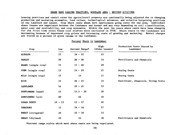#### SHARE RENT LEASING PRACTICES, WOODLAND AREA - REVISED 8/15/1986

Leasing practices and rental rates for agricultural property are continually being adjusted due to changing production and marketing economics, land values, technological advances, and relative bargaining positions of the landlord and tenant. Crop share rents shown here approximate going rates for the area. Individual share leases are negotiated between the landowner and tenant and may vary depending on soil classification, water cost and availability, and crop economics. Within the past two years share rents have been changing for the first time since these cost studies were initiated in 1958. Share rents to the landowner are decreasing because of depressed crop prices and increasing costs of growing and marketing. Rental charges are listed as a percent of gross income to the landowner.

Percent Share to Landowner

| Crop                | Low       | Current Range* | High<br>(Older Leases) | Production Costs Shared by<br>Landowner |
|---------------------|-----------|----------------|------------------------|-----------------------------------------|
| ALFALFA             | 15        | $16 - 22$      | 25                     |                                         |
| <b>BARLEY</b>       | 20        | $20 - 30$      | 33                     | Fertilizers and Chemicals               |
| BEANS (single crop) | 15        | $15 - 20$      | 20                     |                                         |
| CORN (single crop)  | 15        | $16 - 20$      | 25                     | Drying Costs                            |
| MILO (single crop)  | 15        | 15             | 15                     | Drying Costs                            |
| <b>RICE</b>         | 15        | $20 - 25$      | 33                     | Fertilizer, Chemicals, Drying Costs     |
| <b>SAFFLOWER</b>    | 16        | $20 - 25$      | 33                     |                                         |
| SUNFLOWERS (seed)   | 15        | $17.5 - 20$    | 20                     |                                         |
| SUNFLOWERS (oil)    | 20        | 20             | 20                     |                                         |
| SUGAR BEETS         | $10 - 13$ | $15 - 17$      | 20                     |                                         |
| <b>TOMATOES</b>     | 13        | $14 - 16$      | 17                     |                                         |
| WHEAT (irrigated)   | 20        | $25 - 30$      | 33                     |                                         |
| WHEAT (dryland)     | 20        | 25             | 30                     | Fertilizers and Chemicals               |

\*Current range within which most share rents are being negotiated.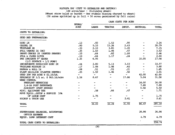#### ALFALFA HAY (COST TO ESTABLISH AND DESTROY)

Wheat straw baled or burned - One stubble discing charged to wheat)<br>(50 acres sprinkled up in fall + 50 acres germinated by fall rains)

|                                                       | HOURS/                          |                                                                                                                                                                                                                                                                                                                                                                                              |                          | Chon Cubio Par ACRE      |                          |              |
|-------------------------------------------------------|---------------------------------|----------------------------------------------------------------------------------------------------------------------------------------------------------------------------------------------------------------------------------------------------------------------------------------------------------------------------------------------------------------------------------------------|--------------------------|--------------------------|--------------------------|--------------|
|                                                       | ACRE                            | <b>LABOR</b>                                                                                                                                                                                                                                                                                                                                                                                 | <b>TRACTOR</b>           | IMPLT.                   | MATERIAL                 | <b>TOTAL</b> |
| COSTS TO ESTABLISH:                                   |                                 |                                                                                                                                                                                                                                                                                                                                                                                              |                          |                          |                          |              |
| SEED BED PREPARATION:                                 |                                 |                                                                                                                                                                                                                                                                                                                                                                                              |                          |                          |                          |              |
| DISC 1X                                               | .13                             | .83                                                                                                                                                                                                                                                                                                                                                                                          | 1.52                     | .90                      |                          | 3.24         |
| CHISEL 2X                                             | .80                             | 5.10                                                                                                                                                                                                                                                                                                                                                                                         | 13.26                    | 2.43                     |                          | 20.79        |
| TRIPLANE 2X                                           | .33                             | 2.10                                                                                                                                                                                                                                                                                                                                                                                         | 3.85                     | 1.20                     |                          | 7.15         |
| PULL CHECKS 1X (BG)                                   | .25                             | 1.59                                                                                                                                                                                                                                                                                                                                                                                         | 1.46                     | .47                      |                          | 3.52         |
| SHAPE CHECKS 2X (RENTED SHAPER)                       | .10                             | .64                                                                                                                                                                                                                                                                                                                                                                                          | .82                      | 1.00                     |                          | 2.46         |
| PULL & CLOSE DITCH                                    | .10                             | .64                                                                                                                                                                                                                                                                                                                                                                                          | 1.17                     | .24                      |                          | 2.04         |
| PRE IRRIGATE 8" WATER<br>$(1/2$ SURFACE + $1/2$ PUMP) | 1.25                            | 6.95                                                                                                                                                                                                                                                                                                                                                                                         |                          |                          | 10.05                    | 17.00        |
| INCORPORATE HERBICIDE DISC 2X                         | .44                             | 2.80                                                                                                                                                                                                                                                                                                                                                                                         | 5.13                     | 3.03                     | $\overline{\phantom{m}}$ | 10.97        |
| TRIPLANE MIDDLES 1X                                   | .17                             | 1.08                                                                                                                                                                                                                                                                                                                                                                                         | 1.98                     | .62                      |                          | 3.68         |
| HARROW & ROLL 1X                                      | .08                             | .51                                                                                                                                                                                                                                                                                                                                                                                          | .93                      | .21                      | $\overline{\phantom{m}}$ | 1.65         |
| PLANT BRILLION (PLANTER RENTED)                       | $\overline{\phantom{0}}$ .25    | 1.59                                                                                                                                                                                                                                                                                                                                                                                         | 1.46                     | .50                      | $\overline{\phantom{0}}$ | 3.55         |
| SEED 20# PER ACRE @ \$2.10/IB.                        | $\frac{1}{2}$ and $\frac{1}{2}$ | $\frac{1}{2} \frac{1}{2} \frac{1}{2} \frac{1}{2} \frac{1}{2} \frac{1}{2} \frac{1}{2} \frac{1}{2} \frac{1}{2} \frac{1}{2} \frac{1}{2} \frac{1}{2} \frac{1}{2} \frac{1}{2} \frac{1}{2} \frac{1}{2} \frac{1}{2} \frac{1}{2} \frac{1}{2} \frac{1}{2} \frac{1}{2} \frac{1}{2} \frac{1}{2} \frac{1}{2} \frac{1}{2} \frac{1}{2} \frac{1}{2} \frac{1}{2} \frac{1}{2} \frac{1}{2} \frac{1}{2} \frac{$ | $\overline{\phantom{a}}$ | $\mathbf{r}$             | 42.00                    | 42.00        |
| SPRINKLE UP $1/2$ ac. $\theta$ \$63.16/acre           | 1.56                            | 8.67                                                                                                                                                                                                                                                                                                                                                                                         | $\frac{1}{2}$            | 17.86                    | 5.04                     | 31.58        |
| WEED CONTROL                                          |                                 |                                                                                                                                                                                                                                                                                                                                                                                              |                          |                          |                          |              |
| PREPLANT HERBICIDE                                    |                                 |                                                                                                                                                                                                                                                                                                                                                                                              |                          |                          | 16.00                    | 16.00        |
| 2,4-DB POST EMERGENCE                                 |                                 |                                                                                                                                                                                                                                                                                                                                                                                              |                          |                          | 7.88                     | 7.88         |
| AIRCRAFT (POST EMERGE)                                |                                 |                                                                                                                                                                                                                                                                                                                                                                                              |                          | $\rightarrow$            | 5.50                     | 5.50         |
| MISC. EQUIPMENT USE                                   |                                 | .58                                                                                                                                                                                                                                                                                                                                                                                          | .66                      | .47                      | —                        | 1.71         |
| MOVE EQUIP., SETUP & SERVICE 10%                      |                                 |                                                                                                                                                                                                                                                                                                                                                                                              |                          |                          |                          |              |
| OF LABOR COST                                         |                                 | 1.75                                                                                                                                                                                                                                                                                                                                                                                         |                          | $\overline{\phantom{a}}$ |                          | 1.75         |
| PICKUP & TRUCK USE                                    |                                 | $\overline{\phantom{0}}$                                                                                                                                                                                                                                                                                                                                                                     |                          | 2.61                     |                          | 2.61         |
| TOTAL                                                 |                                 | 34.83                                                                                                                                                                                                                                                                                                                                                                                        | 32.24                    | 31.55                    | 86.47                    | 185.10       |
|                                                       |                                 |                                                                                                                                                                                                                                                                                                                                                                                              |                          |                          |                          |              |
| SUPERVISORS SALARIES, ACCOUNTING<br>OFFICE EXPENSE    |                                 |                                                                                                                                                                                                                                                                                                                                                                                              |                          |                          | 26.86                    | 26.86        |
| EQUIP. LOAN INTEREST COST                             |                                 |                                                                                                                                                                                                                                                                                                                                                                                              |                          |                          | 4.79                     | 4.79         |
| TOTAL CASH COSTS TO ESTABLISH:                        |                                 |                                                                                                                                                                                                                                                                                                                                                                                              |                          |                          |                          | 216.74       |

 $C\Lambda C\Omega$   $C\Lambda C\Omega C$   $DCD$   $\Lambda C\Omega$ 

J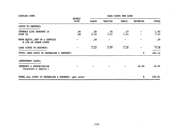| ALFALFA CONT.                                                                                                                            |                |                                   | CASH COSTS PER ACRE<br>سلسياته لإيقيانا سناتك شمكتها سيمكان منسوك سيطيف المعود مجاوله جلوب ولودياه شبائون موجود عدم |             |          |              |  |
|------------------------------------------------------------------------------------------------------------------------------------------|----------------|-----------------------------------|---------------------------------------------------------------------------------------------------------------------|-------------|----------|--------------|--|
|                                                                                                                                          | HOURS/<br>ACRE | LABOR                             | TRACTOR                                                                                                             | IMPLT.      | MATERIAL | TOTAL        |  |
| COSTS TO DESTROY:                                                                                                                        |                |                                   |                                                                                                                     |             |          |              |  |
| STUBBLE DISC BORDERS 1X<br>PLOW 1X                                                                                                       | 06ء<br>.40     | $\overline{\mathbf{.38}}$<br>2.55 | .70<br>3.27                                                                                                         | .57<br>1.61 |          | 1.65<br>7.43 |  |
| MOVE EQUIP., SET UP & SERVICE<br>@ 10% OF LABOR COSTS                                                                                    |                | $-29$                             |                                                                                                                     |             |          | .29          |  |
| CASH COSTS TO DESTROY:                                                                                                                   |                | 3.22                              | 3.97                                                                                                                | 2.18        |          | 9.38         |  |
| The second visit tends and the manufacturer second comparison and the second control and the<br>TOTAL CASH COSTS TO ESTABLISH & DESTROY: |                |                                   |                                                                                                                     |             | \$       | 226.12       |  |
| INVESTMENT COSTS:                                                                                                                        |                |                                   |                                                                                                                     |             |          |              |  |
| INTEREST & DEPRECIATION<br>(tractors & implts.)                                                                                          |                |                                   |                                                                                                                     |             | 18.69    | 18.69        |  |
| TOTAL ALL COSTS TO ESTABLISH & DESTROY: (per acre)                                                                                       |                |                                   |                                                                                                                     |             | s        | 244.81       |  |

 $\cdots$ 

(10)

L.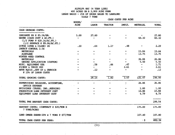#### ALFALFA HAY (4 YEAR LIFE) 400 ACRES ON A 2,900 ACRE FARM LEASE BASIS  $-25$ <sup>8</sup> OF GROSS SALES TO LANDLORD YIELD 7 TONS

 $\sim$ 

|  | CASH COSTS PER ACRE |  |  |  |
|--|---------------------|--|--|--|
|--|---------------------|--|--|--|

|                                                                                                              | HOURS/      |       |                   |                          |                          |        |  |
|--------------------------------------------------------------------------------------------------------------|-------------|-------|-------------------|--------------------------|--------------------------|--------|--|
|                                                                                                              | <b>ACRE</b> | LABOR | <b>TRACTOR</b>    | IMPLT.                   | <b>MATERIAL</b>          | TOTAL  |  |
| CASH GROWING COSTS:                                                                                          |             |       |                   |                          |                          |        |  |
| IRRIGATE 8X @ \$5.56/HR.                                                                                     | 5.00        | 27.80 |                   |                          |                          | 27.80  |  |
| WATER (CASH COST 4 AC.FT.)<br>$(1/2$ PUMP $\theta$ \$20.16/AC.FT.)<br>$(1/2$ SURFACE $\theta$ \$9.98/AC.FT.) |             |       |                   |                          | 60.32                    | 60.32  |  |
| DITCH (OPEN & CLOSE) 2X                                                                                      | .10         | .64   | 1.17              | .48                      |                          | 2.29   |  |
| <b>INSECT CONTROL 2.5X</b>                                                                                   |             |       |                   |                          |                          |        |  |
| <b>MATERIALS</b>                                                                                             |             |       |                   |                          | 15.84                    | 15.84  |  |
| <b>AIRPLANE</b>                                                                                              |             |       |                   |                          | 13.75                    | 13.75  |  |
| WINTER WEED CONTROL                                                                                          |             |       |                   |                          |                          |        |  |
| <b>MATERIALS</b>                                                                                             |             |       |                   |                          | 26.06                    | 26.06  |  |
| GROUND APPLICATION (CUSTOM)                                                                                  |             |       |                   |                          | 5.50                     | 5.50   |  |
| MISC. EQUIPMENT USE                                                                                          |             | .58   | .66               | .47                      | $\overline{\phantom{0}}$ | 1.71   |  |
| PICKUP & TRUCK USE                                                                                           |             |       |                   | 2.61                     |                          | 2.61   |  |
| MOVE EQUIP. SET UP & SERVICE<br>@ 10% OF LABOR COSTS                                                         |             | .12   |                   | $\rightarrow$            |                          | .12    |  |
| TOTAL GROWING COSTS:                                                                                         |             | 29.14 | $\overline{1.82}$ | $\overline{3.57}$        | 121.47                   | 156.00 |  |
| SUPERVISORS SALARIES, ACCOUNTING,<br>OFFICE EXPENSE                                                          |             |       |                   | $\overline{\phantom{0}}$ | 26.86                    | 26.86  |  |
| BUIIDINGS (TAXES, INS., REPAIRS)                                                                             |             |       |                   |                          | 1.00                     | 1.00   |  |
| PRODUCTION LOAN INTEREST COST                                                                                |             |       |                   |                          | 10.88                    | 10.88  |  |
| EQUIPMENT LOAN INTEREST COST                                                                                 |             |       |                   |                          | 4.79                     | 4.79   |  |
| TOTAL PRE HARVEST CASH COSTS:                                                                                |             |       |                   |                          |                          | 199.54 |  |
| HARVEST COSTS: (CONTRACT @ \$25/TON X<br>7 TONS/ACRE)                                                        |             |       |                   |                          | 175.00                   | 175.00 |  |
| LAND OWNER SHARE-20% x 7 TONS @ \$77/TON                                                                     |             |       |                   |                          | 107.80                   | 107.80 |  |
| TOTAL CASH COSTS PER YEAR:                                                                                   |             |       |                   |                          | $-5$                     | 482.34 |  |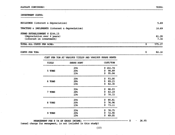#### INVESTMENT COSTS:

#### 

| TOTAL ALL COSTS PER ACRE:                                                                 | 575.27        |
|-------------------------------------------------------------------------------------------|---------------|
| STAND ESTABLISHMENT @ \$244.15<br>(depreciation over 4 years)<br>(interest on investment) | 61.20<br>7.34 |
| TRACTORS & IMPLEMENTS (interest & depreciation)                                           | 18.69         |
| BUILDINGS (interest & depreciation)                                                       | 5.69          |

#### COSTS PER TON:

82.18

 $\mathsf{S}$ 

|        | COST PER TON AT VARIOUS YIELDS AND VARIOUS SHARE RENTS |                            |
|--------|--------------------------------------------------------|----------------------------|
| YIELD  | SHARE RENT                                             | COST/TON                   |
| 5 TONS | 258<br>20%                                             | s<br>102.74<br>\$<br>98.89 |
|        | 15%                                                    | \$<br>95.04                |
| 6 TONS | 25%                                                    | \$<br>93.00                |
|        | 20%<br>15%                                             | \$<br>89.15<br>\$<br>82.30 |
|        | 25%                                                    | \$<br>86.03                |
| 7 TONS | 20%<br>158                                             | \$<br>82.18<br>\$<br>78.33 |
|        | 25%                                                    | \$<br>80.81                |
| 8 TONS | 20%<br>158                                             | \$<br>76.96<br>\$<br>73.11 |
|        | 25%                                                    | \$<br>76.75                |
| 9 TONS | 20%<br>15%                                             | \$<br>72.90<br>\$<br>69.05 |

(usual charge for managment, is not included in this study)

 $-26.95$ 

 $(12)$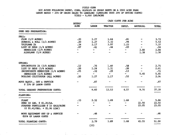#### FIELD CORN

#### 600 ACRES FOLLOWING WHEAT, CORN, ALFALFA OR SUGAR BEETS ON A 2900 ACRE FARM LEASE BASIS - 20% OF GROSS SALES TO LANDLORD (LANDLORD PAYS 20% OF DRYING COSTS) YIELD - 9, 000 LBS/ACRE

|                                                                                            | HOURS/                         | CASH COSTS PER ACRE |                          |                              |                 |       |  |  |
|--------------------------------------------------------------------------------------------|--------------------------------|---------------------|--------------------------|------------------------------|-----------------|-------|--|--|
|                                                                                            | <b>ACRE</b>                    | <b>LABOR</b>        | TRACTOR                  | IMPLT.                       | <b>MATERIAL</b> | TOTAL |  |  |
| SEED BED PREPARATION:                                                                      |                                |                     |                          |                              |                 |       |  |  |
| FALL:                                                                                      |                                |                     |                          |                              |                 |       |  |  |
| PLOW $(1/2$ ACRES)                                                                         | $\boldsymbol{\mathcal{S}}$ .20 | 1.27                | 1.64                     | $\overline{\phantom{1}}$ .81 |                 | 3.72  |  |  |
| SUBSOIL & ROLL (1/2 ACRES)                                                                 | .20                            | 1.27                | 3.32                     | .94                          |                 | 5.53  |  |  |
| TRIPLANE 2X                                                                                | .34                            | 2.17                | 3.97                     | 1.23                         |                 | 7.37  |  |  |
| LIST UP BEDS (1/4 ACRES)                                                                   | .07                            | .41                 | .44                      | .09                          |                 | .94   |  |  |
| HERBICIDE (1/4 ACRES)                                                                      |                                |                     | $\overline{\phantom{a}}$ | $-$                          | 2.88            | 2.88  |  |  |
| AIRPLANE (1/4 ACRES)                                                                       |                                |                     |                          |                              | 1.38            | 1.38  |  |  |
| SPRING:                                                                                    |                                |                     |                          |                              |                 |       |  |  |
| SPRINGTOOTH 2X (3/4 ACRES)                                                                 | .12                            | .76                 | 1.40                     | .58                          |                 | 2.75  |  |  |
| LIST UP BEDS (3/4 ACRES)                                                                   | .20                            | 1.24                | 1.31                     | .26                          |                 | 2.81  |  |  |
| INCORPORATE HERBICIDE (1/4 ACRES)                                                          | .05                            | .32                 | .29                      | .13                          |                 | .74   |  |  |
| HERBICIDE $(1/4$ ACRES)                                                                    | $\sim$                         | $\sim$              | $-$                      | $\overline{\phantom{a}}$     | 5.45            | 5.45  |  |  |
| ROLLING CULTIVATOR (ALL ACRES)                                                             | .20                            | 1.27                | 1.17                     | .52                          |                 | 2.96  |  |  |
| MOVE EQUIP., SET & SERVICE<br>@ 10% OF LABOR COSTS                                         |                                | .87                 |                          |                              |                 | .87   |  |  |
| TOTAL SEEDBED PREPARATION COSTS:                                                           |                                | 9.60                | 13.53                    | 4.57                         | 9.70            | 37.39 |  |  |
| PLANTING:                                                                                  |                                |                     |                          |                              |                 |       |  |  |
| PLANT                                                                                      | $-33$                          | 2.32                | 1.89                     | 1.68                         | $-$             | 5.88  |  |  |
| SEED 18 LBS. @ \$1.25/IB.                                                                  |                                |                     |                          |                              | 22.50           | 22.50 |  |  |
| STARTER FERTILIZER @ 15 GAIS/ACRE<br>$(0 \text{ } $1.41/\text{GAL.} + $1.90 \text{ ZINC})$ |                                |                     |                          |                              | 23.05           | 23.05 |  |  |
| MOVE EQUIPMENT SET UP & SERVICE<br>@20% OF LABOR COSTS                                     |                                | .46                 |                          |                              |                 | .46   |  |  |
| TOTAL PLANTING COSTS:                                                                      |                                | 2.79                | 1.89                     | 1.68                         | 45.55           | 51.90 |  |  |
|                                                                                            |                                | (13)                |                          |                              |                 |       |  |  |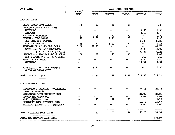| CURN CUNI.                                           | HOURS/                   | CASH COSTS PER ACRE      |                          |                          |                          |              |  |
|------------------------------------------------------|--------------------------|--------------------------|--------------------------|--------------------------|--------------------------|--------------|--|
|                                                      | <b>ACRE</b>              | <b>IABOR</b>             | TRACTOR                  | IMPLT.                   | <b>MATERIAL</b>          | <b>TOTAL</b> |  |
| GROWING COSTS:                                       |                          |                          |                          |                          |                          |              |  |
| <b>BREAK CRUST (10% ACRES)</b>                       | .02                      | $\cdot$ 13               | .12                      | .05                      |                          | .30          |  |
| CUIWORM CONTROL (20% ACRES)                          |                          |                          |                          |                          |                          |              |  |
| <b>MATERIAL</b>                                      |                          |                          |                          | -                        | 4.50                     | 4.50         |  |
| <b>AIRPLANE</b>                                      |                          | $\sim$                   |                          | $\overline{\phantom{0}}$ | 1.10                     | 1.10         |  |
| ROLLING CULTIVATOR                                   | .17                      | 1.08                     | .99                      | $-72$                    | $\overline{\phantom{a}}$ | 2.79         |  |
| FURROW & SIDE DRESS                                  | .29                      | 1.85                     | 1.95                     | .50                      | $\frac{1}{2}$            | 4.30         |  |
| 200 LBS. N @ 24c/LB.                                 | $\overline{\phantom{a}}$ | $\overline{\phantom{a}}$ | $\overline{\phantom{0}}$ | $\overline{\phantom{a}}$ | 48.00                    | 48.00        |  |
| DITCH & CLOSE 2X                                     | .10                      | .70                      | 1.17                     | .24                      | $\overline{\phantom{m}}$ | 2.11         |  |
| IRRIGATE 6X @ 1.25 HRS./ACRE                         | 7.50                     | 41.70                    |                          |                          | $\overline{\phantom{0}}$ | 41.70        |  |
| WATER 1.5 AC.FT.@ \$9.99/FT.                         | $\overline{\phantom{0}}$ |                          |                          | $\overline{\phantom{0}}$ | 14.99                    | 14.99        |  |
| 1.5 AC.FT. WEIL @ \$20.16                            |                          |                          |                          |                          | 30.24                    | 30.24        |  |
| HERBICIDE - GROUND RIG(1/2 ACRES)                    | .08                      | .51                      | .47                      | .05                      | $\frac{1}{2}$            | 1.03         |  |
| 2,4-D AMINE $(0 8 02. (1/2 ACRES))$                  | $\overline{\phantom{0}}$ |                          |                          |                          | .69                      | .69          |  |
| MITICIDE - CUSTOM                                    |                          |                          |                          |                          | 5.50                     | 5.50         |  |
| MATERIAL                                             |                          |                          |                          |                          | 14.97                    | 14.97        |  |
| MOVE EQUIP., SET UP & SERVICE<br>@ 15% OF LABOR COST |                          | 6.90                     |                          |                          |                          | 6.90         |  |
| TOTAL GROWING COSTS:                                 |                          | 52.87                    | 4.69                     | 1.57                     | 119.98                   | 179.11       |  |
| MISCELLANEOUS COSTS:                                 |                          |                          |                          |                          |                          |              |  |
| SUPERVISORS SALARIES, ACCOUNTING,<br>OFFICE EXPENSE  |                          |                          |                          |                          | 21.46                    | 21.46        |  |
| PRODUCTION LOAN INTEREST COST                        |                          |                          |                          |                          | 21.06                    | 21.06        |  |
| PICKUP AND TRUCK USE                                 |                          |                          |                          |                          | 2.09                     | 2.09         |  |
| MISC. EQUIPMENT USE                                  |                          | .47                      | .52                      | $-38$                    | $\frac{1}{2}$            | 1.37         |  |
| EQUIPMENT LOAN INTEREST COST                         |                          |                          |                          |                          | 10.59                    | 10.59        |  |
| BUILDING (TAXES, INS., REPAIRS)                      |                          |                          |                          |                          | 1.00                     | 1.00         |  |
| TOTAL MISCELLANEOUS COSTS:                           |                          | .47                      | .52                      | .38                      | 56.20                    | 57.57        |  |
|                                                      |                          |                          |                          |                          |                          | 325.97       |  |
| TOTAL PRE-HARVEST CASH COSTS:                        |                          |                          |                          |                          |                          |              |  |

 $(14)$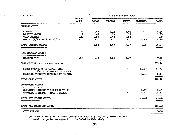| CORN CONT.                                                                                              |                   |                                                  |                                        |                                                             | CASH COSTS PER ACRE |                              |  |  |
|---------------------------------------------------------------------------------------------------------|-------------------|--------------------------------------------------|----------------------------------------|-------------------------------------------------------------|---------------------|------------------------------|--|--|
|                                                                                                         | HOURS/<br>ACRE    | <b>LABOR</b>                                     | TRACTOR                                | IMPLT.                                                      | <b>MATERIAL</b>     | TOTAL                        |  |  |
| HARVEST COSTS:                                                                                          |                   |                                                  |                                        |                                                             |                     |                              |  |  |
| <b>COMBINE</b><br>BANKOUT WAGON<br>CHOP STUBBLE<br>DRYING $(1/4 \text{ CORN} \otimes $4.40/\text{TON})$ | .22<br>.22<br>.25 | 1.55<br>1.40<br>1.59<br>$\overline{\phantom{a}}$ | 5.12<br>1.29<br>1.68<br>$\blacksquare$ | 2.00<br>$\overline{\mathbf{.26}}$<br>1.03<br>$\blacksquare$ | 4.95                | 8.66<br>2.95<br>4.30<br>4.95 |  |  |
| TOTAL HARVEST COSTS:                                                                                    |                   | 4.54                                             | 8.09                                   | 3.29                                                        | 4.95                | 20.87                        |  |  |
| POST HARVEST COSTS:                                                                                     |                   |                                                  |                                        |                                                             |                     |                              |  |  |
| STUBBLE DISC                                                                                            | .22               |                                                  | $1.40$ $3.65$                          | 2.07                                                        |                     | 7.12                         |  |  |
| CASH CULTURAL AND HARVEST COSTS:                                                                        |                   |                                                  |                                        |                                                             |                     | 353.96                       |  |  |
| SHARE RENT (20% OF GROSS, LESS                                                                          |                   |                                                  |                                        |                                                             | 61.63               | 61.63                        |  |  |
| 20% OF DRYING AND DOCKAGE)<br>DOCKAGE, TENNANTS SHARE(2% OF 90 CWT.)                                    |                   |                                                  |                                        |                                                             | 5.11                | 5.11                         |  |  |
| TOTAL CASH COSTS:                                                                                       |                   |                                                  |                                        |                                                             |                     | 420.70                       |  |  |
| INVESTMENT COSTS:                                                                                       |                   |                                                  |                                        |                                                             |                     | $\epsilon$                   |  |  |
| BUILDINGS (INTEREST & DEPRECIATION)<br>TRACTORS & IMPLT. (INT. & DEPRE.)                                |                   |                                                  |                                        |                                                             | 5.69<br>28.63       | 5.69<br>28.63<br>----------  |  |  |
| TOTAL INVESTMENT COSTS:                                                                                 |                   |                                                  |                                        |                                                             | 34.32               | 34.32                        |  |  |
| TOTAL ALL COSTS PER ACRE:                                                                               |                   |                                                  |                                        |                                                             |                     | 455.02                       |  |  |
| COST PER CWT.                                                                                           |                   |                                                  |                                        |                                                             |                     | 5.06                         |  |  |

(MANAGEMENT FEE @ 5% OF GROSS INCOME - 90 CWT. @ \$3.55/CWT.) ----- (\$ 15.98) (usual charge for management not included in this study)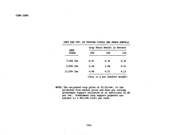|  |  | COOL FER CAL. HI VERIING ITEMPO GEO DIFINE REGIONS                                                                                                                                      |  |  |
|--|--|-----------------------------------------------------------------------------------------------------------------------------------------------------------------------------------------|--|--|
|  |  | التأريش ويربان بأنة بالأريش والربان والمراكب الأراث أبار أنار أنار أنار والمستحدد والمحاديث المحادي والمراجع والمراجع والمراجع والمراجع والمستحد والمستحد والمحاديث والمحاديث والمحاديث |  |  |

COOP DER OUT AS VARYING VIETDE AND SHA

| <b>CROP</b>  |      | Crop Share Rental in Percent<br>الرائبونية وبهزي بنجي ويعنف وولينا و |      |  |  |  |  |
|--------------|------|----------------------------------------------------------------------|------|--|--|--|--|
| YIEID        | 25%  | 20%                                                                  | 158  |  |  |  |  |
| $1,000$ lbs  | 6.47 | 6.30                                                                 | 6.30 |  |  |  |  |
| $9,000$ lbs  | 5.26 | 5.06                                                                 | 4.91 |  |  |  |  |
| $11,000$ lbs | 4.48 | 4.31                                                                 | 4.13 |  |  |  |  |
|              |      | (Cost in \$ per hundred weight)                                      |      |  |  |  |  |

NOTE: The estimated crop price of \$3.55/cwt. is the projected free market price and does not include government support estimated at an additional \$1.86 per cwt. Government crop support payments are subject to a \$50,000 limit per fann.

 $(16)$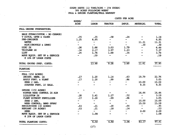#### SUGAR BEETS (22 TONS/ACRE -  $158$  SUGAR) 300 ACRES FOLLOWING WHEAT FALL & SPRING PLANTING/FALL HARVEST

41

 $\sim$  .

 $\sim$  1.

 $\hat{\mathcal{A}}$ 

 $\mathcal{L} \subset \mathcal{N}$ 

|                                                      | HOURS/                   |                                 |                                                                                                                                                                                                                                                                                                                                                                                                                                                                            |                                   |                          |              |  |  |
|------------------------------------------------------|--------------------------|---------------------------------|----------------------------------------------------------------------------------------------------------------------------------------------------------------------------------------------------------------------------------------------------------------------------------------------------------------------------------------------------------------------------------------------------------------------------------------------------------------------------|-----------------------------------|--------------------------|--------------|--|--|
|                                                      | <b>ACRE</b>              | <b>LABOR</b>                    | <b>TRACTOR</b>                                                                                                                                                                                                                                                                                                                                                                                                                                                             | IMPLT.                            | <b>MATERIAL</b>          | <b>TOTAL</b> |  |  |
| FALL GROUND PREPARATION:                             |                          |                                 |                                                                                                                                                                                                                                                                                                                                                                                                                                                                            |                                   |                          |              |  |  |
| BALE STRAW (CUSTOM - NO CHARGE)                      |                          |                                 |                                                                                                                                                                                                                                                                                                                                                                                                                                                                            |                                   |                          |              |  |  |
| V DITCH, OPEN & CLOSE                                | .05                      | .35                             | .58 <sub>1</sub>                                                                                                                                                                                                                                                                                                                                                                                                                                                           | .24                               |                          | 1.18         |  |  |
| PRE-IRRIGATE                                         | 1.25                     | 6.95                            | $\sim$                                                                                                                                                                                                                                                                                                                                                                                                                                                                     | $\sim$                            |                          | 6.95         |  |  |
| <b>WATER</b>                                         | m.                       | $\frac{1}{2}$                   | $\frac{1}{2}$                                                                                                                                                                                                                                                                                                                                                                                                                                                              | $\rightarrow$                     | 11.31                    | 11.31        |  |  |
| MISC(SHOVEIS & DAMS)                                 |                          | $\frac{1}{2}$ and $\frac{1}{2}$ | $\frac{1}{2}$ and $\frac{1}{2}$                                                                                                                                                                                                                                                                                                                                                                                                                                            | $\frac{1}{2}$ and $\frac{1}{2}$ . | $-30$                    | .30          |  |  |
| DISC 2X                                              | $-26$                    | 1.66                            | 3.03                                                                                                                                                                                                                                                                                                                                                                                                                                                                       | 1.79                              |                          | 6.48         |  |  |
| TRIPLANE 2X                                          | .34                      | 2.17                            | 3.97                                                                                                                                                                                                                                                                                                                                                                                                                                                                       | 1.23                              |                          | 7.37         |  |  |
| <b>LIST</b>                                          | .25                      | 1.76                            | 1.68                                                                                                                                                                                                                                                                                                                                                                                                                                                                       | $-34$                             |                          | 3.78         |  |  |
| MOVE EQUIP. SET UP & SERVICE<br>@ 10% OF IABOR COSTS |                          | .59                             | $\overline{\phantom{a}}$                                                                                                                                                                                                                                                                                                                                                                                                                                                   |                                   |                          | .59          |  |  |
| TOTAL GROUND PREP. COSTS:                            |                          | 13.48                           | 9.26                                                                                                                                                                                                                                                                                                                                                                                                                                                                       | $\frac{1}{3.60}$                  | II.6I                    | 37.95        |  |  |
| PLANTING                                             |                          |                                 |                                                                                                                                                                                                                                                                                                                                                                                                                                                                            |                                   |                          |              |  |  |
| FALL (150 ACRES)                                     |                          |                                 |                                                                                                                                                                                                                                                                                                                                                                                                                                                                            |                                   |                          |              |  |  |
| INCORP. HERB. 1X                                     | .17                      | 1.20                            | 1.14                                                                                                                                                                                                                                                                                                                                                                                                                                                                       | .63                               | 19.79                    | 22.76        |  |  |
| APPLY FERT. & PLANT                                  | .17                      | 1.20                            | .99                                                                                                                                                                                                                                                                                                                                                                                                                                                                        | .86                               |                          | 3.05         |  |  |
| SEED 2 LBS.                                          | $\overline{\phantom{a}}$ | $\sim$ .                        | $\frac{1}{2}$                                                                                                                                                                                                                                                                                                                                                                                                                                                              | $-$                               | 10.00                    | 10.00        |  |  |
| STARTER FERT, 10 GALS.                               |                          |                                 |                                                                                                                                                                                                                                                                                                                                                                                                                                                                            |                                   | 9.35                     | 9.35         |  |  |
| SPRING (150 ACRES)                                   |                          |                                 |                                                                                                                                                                                                                                                                                                                                                                                                                                                                            |                                   |                          |              |  |  |
| WINTER WEED CONTROL 2X AIR                           |                          | $\sim$                          |                                                                                                                                                                                                                                                                                                                                                                                                                                                                            | $\bullet$                         | 16.44                    | 16.44        |  |  |
| LILLISTON 2X                                         | .20                      | 1.41                            | 1.17                                                                                                                                                                                                                                                                                                                                                                                                                                                                       | .52                               | $\sim$                   | 3.10         |  |  |
| PLANT WITHOUT FERTILIZER                             | .17                      | $-1.20$                         | .99                                                                                                                                                                                                                                                                                                                                                                                                                                                                        | .86                               | $\sim$ $\sim$            | 3.05         |  |  |
| SEED 2 LBS.                                          | $\rightarrow$            | $\frac{1}{2}$                   | $\frac{1}{2} \left( \frac{1}{2} \right) \left( \frac{1}{2} \right) \left( \frac{1}{2} \right) \left( \frac{1}{2} \right) \left( \frac{1}{2} \right) \left( \frac{1}{2} \right) \left( \frac{1}{2} \right) \left( \frac{1}{2} \right) \left( \frac{1}{2} \right) \left( \frac{1}{2} \right) \left( \frac{1}{2} \right) \left( \frac{1}{2} \right) \left( \frac{1}{2} \right) \left( \frac{1}{2} \right) \left( \frac{1}{2} \right) \left( \frac{1}{2} \right) \left( \frac$ | $\frac{1}{2}$ and $\frac{1}{2}$   | 10.00                    | 10.00        |  |  |
| WEED CONTROL, BAND SPRAY                             | $ -$                     | $\frac{1}{2}$ and $\frac{1}{2}$ | $\frac{1}{2}$ and $\frac{1}{2}$                                                                                                                                                                                                                                                                                                                                                                                                                                            | $\mathbf{m} = 0$                  | 15.59                    | 15.59        |  |  |
| RECULTIVATE (30 ACRES)                               | .03                      | $-21$                           | .20                                                                                                                                                                                                                                                                                                                                                                                                                                                                        | .04                               | $\frac{1}{2}$            | .45          |  |  |
| REPLANT (30 ACRES)                                   | .03                      | .21                             | .18                                                                                                                                                                                                                                                                                                                                                                                                                                                                        | .14                               | $\overline{\phantom{0}}$ | .53          |  |  |
| <b>SEED</b>                                          |                          | $\frac{1}{2}$                   |                                                                                                                                                                                                                                                                                                                                                                                                                                                                            |                                   | 2.00                     | 2.00         |  |  |
| MOVE EQUIP. SET UP & SERVICE<br>@ 20% OF LABOR COSTS | $\overline{\phantom{0}}$ | 1.08                            |                                                                                                                                                                                                                                                                                                                                                                                                                                                                            |                                   | $\blacksquare$           | 1.08         |  |  |
| TOTAL PLANTING COSTS:                                |                          | 6.50                            | 4.68                                                                                                                                                                                                                                                                                                                                                                                                                                                                       | 3.06                              | 83.17                    | 97.41        |  |  |

COST'S PER ACRE

 $(17)$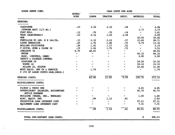| SUGAR BEETS CONT.                                   | HOURS/                       | CASH COSTS PER ACRE      |                          |                          |                                 |        |  |
|-----------------------------------------------------|------------------------------|--------------------------|--------------------------|--------------------------|---------------------------------|--------|--|
|                                                     | <b>ACRE</b>                  | <b>LABOR</b>             | <b>TRACTOR</b>           | IMPLT.                   | MATERIAL                        | TOTAL  |  |
| <b>GROWING:</b>                                     |                              |                          |                          |                          |                                 |        |  |
| <b>CULTIVATE</b>                                    | $\overline{\phantom{1}}$ .33 | $2.32$ $2.22$            |                          | .44                      |                                 | 4.98   |  |
| CUIWORM BAIT (1/3 AC.)                              |                              |                          |                          |                          | 3.77                            | 3.77   |  |
| FLAT ROLL                                           | .12                          | .76                      | .70                      | .14                      | $\mathbf{w} \in \mathbb{R}^n$   | 1.61   |  |
| THIN (ELECTRONIC)                                   | .33                          | 2.32                     | 1.93                     | 2.44                     | $-$                             | 6.69   |  |
| <b>HOE</b>                                          |                              |                          |                          |                          | 50.00                           | 50.00  |  |
| FERTILIZE 90 LBS. N @ 24c/lb.                       | .33                          | 2.32                     | 2.22                     | $-57$                    | 21.60                           | 26.71  |  |
| LAYBY HERBICIDE                                     | $\cdot$ 25                   | 1.76                     | 1.46                     | .75                      | 9.79                            | 13.76  |  |
| ROLLING CULTIVATOR                                  | $\cdot$ 20                   | 1.41                     | 1.17                     | .52                      | $\sim$                          | 3.10   |  |
| V DITCH, OPEN & CLOSE 3X                            | .15                          | 1.06                     | 1.75                     | .72                      | $\frac{1}{2}$ and $\frac{1}{2}$ | 3.53   |  |
| IRRIGATE 7X                                         | 8.75                         | 48.65                    | $\frac{1}{2}$            | $\frac{1}{2}$            | $\frac{1}{2}$ and $\frac{1}{2}$ | 48.65  |  |
| WATER                                               |                              | $\overline{\phantom{m}}$ | $\overline{\phantom{a}}$ | $\overline{\phantom{a}}$ | 60.32                           | 60.32  |  |
| MISC. (SHOVELS, DAMS)                               |                              |                          |                          |                          | 2.00                            | 2.00   |  |
| INSECT & DISEASE CONTROL                            |                              |                          |                          |                          |                                 |        |  |
| AIRPLANE 3X                                         |                              |                          |                          | mana.                    | 16.50                           | 16.50  |  |
| WORMS 1X                                            |                              |                          |                          | $\overline{\phantom{a}}$ | 18.32                           | 18.32  |  |
| MILDEW 2X, SULFUR                                   |                              |                          |                          |                          | 10.40                           | 10.40  |  |
| MOVE EQUIP. SET UP & SERVICE                        |                              | 1.79                     |                          |                          | $\frac{1}{2}$                   | 1.79   |  |
| @ 15% OF LABOR COSTS(-HOE, IRRIG.)                  |                              |                          |                          |                          |                                 |        |  |
| GROWING COSTS:                                      |                              | 62.40                    | $\overline{11.45}$       | $\overline{5.59}$        | 192.70                          | 272.14 |  |
| MISCELLANEOUS COSTS:                                |                              |                          |                          |                          |                                 |        |  |
| PICKUP & TRUCK USE                                  |                              |                          |                          |                          | 4.45                            | 4.45   |  |
| SUPERVISORS' SALARIES, ACCOUNTING<br>OFFICE EXPENSE |                              |                          |                          |                          | 45.74                           | 45.74  |  |
| BUILDING (TAXES, INS., REPAIRS)                     |                              |                          |                          |                          | 1.00                            | 1.00   |  |
| MISC. EQUIP. USE                                    |                              | .99                      | 1.12                     | .81                      |                                 | 2.92   |  |
| PRODUCTION LOAN INTEREST COST                       |                              |                          |                          | me.                      | 27.11                           | 27.11  |  |
| EQUIPMENT LOAN INTEREST COST                        |                              |                          |                          |                          | 7.31                            | 7.31   |  |
| MISCELLANEOUS COSTS:                                |                              | $-99$                    | $\overline{1.12}$        | $\overline{.81}$         | 85.61                           | 88.53  |  |
| TOTAL PRE-HARVEST CASH COSTS:                       |                              |                          |                          |                          | \$.                             | 496.03 |  |

(18)

 $\mathcal{S}_{\mathcal{A}}$ 

 $\mathbb{Z}^2$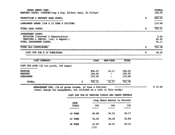| SUGAR BEETS CONT.<br>HARVEST COSTS: $(CUSTOM)(top & diag, $2/ton; hall, $2.75/ton)$                                              | TOTALS<br>104.50       |
|----------------------------------------------------------------------------------------------------------------------------------|------------------------|
| PRODUCTION & HARVEST CASH COSTS:                                                                                                 | \$<br>600.53           |
| LANDOWNER SHARE (16% X 22 TONS @ \$34/TON)                                                                                       | 119.68                 |
| TOTAL CASH COSTS:                                                                                                                | \$<br>720.21           |
| <b>INVESTMENT COSTS:</b><br>BUILDING (interest & depreciation)<br>TRACTORS & IMPLTS. (int. & deprec.)<br>TOTAL INVESTMENT COSTS: | 5.69<br>26.48<br>32.17 |
| TOTAL ALL COSTS/ACRE:                                                                                                            | \$<br>752.38           |
| COST PER TON @ 22 TONS/ACRE:                                                                                                     | \$<br>34.20            |

| COST SUMMARY:                                                     |                                         | <b>CASH</b>                | NON-CASH                                            | TOTAL                      |
|-------------------------------------------------------------------|-----------------------------------------|----------------------------|-----------------------------------------------------|----------------------------|
| فتقاض فالقارب والمرابين والمرار والمراري المتناول المسترا المتأول | COST PER ACRE (22 ton yield, 15% sugar) |                            |                                                     |                            |
| <b>GROWING</b><br><b>HARVEST</b><br><b>LANDOWNER</b>              |                                         | 496.03<br>104.50<br>119.68 | 32.17<br>$\blacksquare$<br>$\overline{\phantom{a}}$ | 528.20<br>104.50<br>119.68 |
| TOTAL:                                                            |                                         | 720.21<br>s                | 32.17                                               | 752.38                     |

#### COST PER TON AT VARYING YIEIDS AND SHARE RENTALS

|                      |               | Crop Share Rental in Percent |       |
|----------------------|---------------|------------------------------|-------|
| <b>CROP</b><br>YIELD | 20%           | 16%                          | 128   |
| 18 TONS              | 40.89         | 39.53                        | 38.17 |
| <b>22 TONS</b>       | 35.56         | 34.20                        | 32.84 |
| 26 TONS              | 31.87<br>(19) | 30.51                        | 29.15 |

 $$37.40$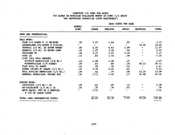#### 'l'CMl.'IDES ( 25 TGIS PER ACRE) 700 ACRES IN ROTATION FOLLOWING WHEAT OR CORN (1/2 EACH) TWO HARVESTER OPERATION (BOTH ELECTRONIC)

|                                                      | HOURS/<br>ACRE |              |               | CASH COSTS PER ACRE |                          |        |
|------------------------------------------------------|----------------|--------------|---------------|---------------------|--------------------------|--------|
|                                                      |                | <b>LABOR</b> | TRACTOR       | IMPLT.              | MATERIAL                 | TOTAL  |
| SEED BED PREPARATION:                                |                |              |               |                     |                          |        |
| FALL WORK:                                           |                |              |               |                     |                          |        |
| PLOW $1/2$ ACRES $\theta$ .4 HR/ACRE                 | .20            | 1.27         | 1.64          | .81                 |                          | 3.72   |
| LASERPLANE 10% ACRES @ \$120/AC.                     |                | $-$          | $\sim$ $\sim$ | $\frac{1}{2}$       | 12.00                    | 12.00  |
| SUBSOIL 1/2 AC. 2X AFTER WHEAT                       | $-40$          | 2.55         | 6.63          | 1.89                |                          | 11.07  |
| SUBSOIL 1/2 AC. 1X AFTER CORN                        | .20            | 1.27         | 3.32          | .94                 |                          | 5.53   |
| TRIPLANE 2X                                          | .34            | 2.17         | 3.97          | 1.23                | $\overline{\phantom{a}}$ | 7.37   |
| DISC 1X                                              | .13            | .83          | 1.52          | $.90 \times$        |                          | 3.24   |
| LIST (ALL FALL BEDDED)                               |                |              |               |                     |                          |        |
| WITHOUT NEMATICIDE (3/4 AC.)                         | .19            | 1.34         | 1.28          | .25                 |                          | 2.87   |
| W/NEMATICIDE (1/4 ACRES)                             | .09            | $\ddotsc$    | .60           | .16                 | 28.13                    | 29.52  |
| FLAT ROLL TO SHAPE                                   | .12            | .76          | .70           | .14                 | $\overline{\phantom{a}}$ | 1.61   |
| POWER INCORP. TO SHAPE (1/3 AC.)                     | .25            | 1.76         | 2.05          | .83                 | $\overline{\phantom{a}}$ | 4.64   |
| FALL APPLIED HERBICIDE (1/2 AC.)                     | .06            | $-42$        | .35           | .06                 | 12.24                    | 13.08  |
| GENERAL HERBICIDE, GROUND RIG                        | .16            | 1.13         | 1.40          | .17                 | 21.88                    | 24.58  |
| SPRING WORK:                                         |                |              |               |                     |                          |        |
| CULTIVATE $(2/3$ AC.) 1X                             | .09            | $\ddotsc$    | .60           | .12                 |                          | 1.36   |
| RE-CULTIVATE $(1/3$ AC.) 1X                          | .05            | .35          | .34           | .07                 |                          | .76    |
| MOVE EQUIP. SET UP & SERVICE<br>@ 10% OF LABOR COSTS |                | 1.51         |               |                     |                          | 1.51   |
| TOTAL IAND PREPARATION COSTS:                        |                | 16.63        | 24.39         | 7.57                | 74.25                    | 122.84 |

(20)

 $\alpha$  and  $\alpha$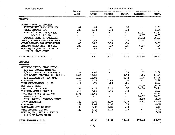| TOMATOES CONT.                    |                          | CASH COSTS PER ACRE      |                          |                          |                          |        |  |
|-----------------------------------|--------------------------|--------------------------|--------------------------|--------------------------|--------------------------|--------|--|
|                                   | HOURS/<br>ACRE           | LABOR                    | TRACTOR                  | IMPLT.                   | MATERIAL                 | TOTAL  |  |
| PLANTING:                         |                          |                          |                          |                          |                          |        |  |
| PLANT 2 ROWS (2 PEOPLE)           |                          |                          |                          |                          |                          |        |  |
| LIGHTWEIGHT TRACKLAYER 20%        | .07                      | .84                      | .61                      | 36ء                      | $\overline{\phantom{m}}$ | 1.82   |  |
| WHEEL TRACTOR 80%                 | .26                      | 3.14                     | 1.49                     | 1.34                     | $\overline{\phantom{0}}$ | 5.96   |  |
| SEED 2/3 HYBRID @ 1/2 IB.         | $\overline{\phantom{a}}$ | $\overline{\phantom{a}}$ | $\overline{\phantom{a}}$ | -                        | 61.67                    | 61.67  |  |
| $1/3$ O.P. $0$ 1 IB.              | $\overline{\phantom{a}}$ |                          | $\overline{\phantom{a}}$ | $\overline{\phantom{a}}$ | 6.67                     | 6.67   |  |
| STARTER FERT. 18 GALS./AC.        | $\overline{\phantom{a}}$ | $\overline{\phantom{a}}$ | $\overline{\phantom{a}}$ | $\frac{1}{2}$            | 26.92                    | 26.92  |  |
| HERB., SURFACE SPRAY 40% AREA     | .12                      | .84                      | .70                      | .13                      | 21.55                    | 23.22  |  |
| CRUST BREAKER FOR GERMINATION     | .40                      | 2.82                     | 2.34                     | $-54$                    | $\overline{\phantom{a}}$ | 5.69   |  |
| REPLANT (SEED ONLY) 10% AC.       | .03                      | .36                      | .17                      | .15                      | 6.67                     | 7.36   |  |
| MOVE EQUIP., SET UP & SERVICE     | $\overline{\phantom{a}}$ | 1.60                     | $\overline{\phantom{a}}$ | $\overline{\phantom{0}}$ | $\overline{\phantom{a}}$ | 1.60   |  |
| 20% OF LABOR COSTS                |                          |                          |                          |                          |                          |        |  |
| TOTAL PLANTING COSTS:             |                          | 9.61                     | 5.31                     | 2.52                     | 123.48                   | 140.91 |  |
|                                   |                          |                          |                          |                          |                          |        |  |
| <b>GROWING:</b>                   |                          |                          |                          |                          |                          |        |  |
| SPRINKLE IRRIG. STAND ESTAB.      |                          |                          |                          |                          |                          |        |  |
| 1/6 AC. NATURAL RAINFALL          |                          |                          |                          |                          |                          |        |  |
| $1/6$ AC. EARLY: 1X (33 HRS.)     | .36                      | 2.00                     |                          | . 79                     | .21                      | 3.00   |  |
| $1/3$ AC.MID-SEASON:2.5X (163 hr. | 1.80                     | 10.01                    |                          | 3.93                     | 1.05                     | 14.99  |  |
| $1/3$ AC. LATE: $3X$ (196 hrs.)   | 2.16                     | 12.01                    |                          | 4.72                     | 1.26                     | 17.99  |  |
| <b>CULTIVATE</b>                  | .25                      | 1.76                     | 1.68                     | .34                      | $\overline{\phantom{a}}$ | 3.78   |  |
| THIN (ELECTRONIC) 1/3 AC.         | .11                      | .77                      | .64                      | .81                      | $\overline{\phantom{a}}$ | 2.23   |  |
| HOE (HAND WEED)                   | and the contract         | $ -$                     | $\mathbf{w}$             | $\overline{\phantom{a}}$ | 70.00                    | 70.00  |  |
| FERT. 125 I.B. @ 24c              | .33                      | 2.32                     | 2.22                     | .57                      | 30.00                    | 35.11  |  |
| V DITCH, OPEN & CLOSE 3X          | .15                      | 1.06                     | 1.75                     | .72                      | $\overline{\phantom{m}}$ | 3.53   |  |
| IRRIGATE 7X @ 1.25 HR./AC.        | 8.75                     | 48.65                    | -                        | -                        | $\overline{\phantom{a}}$ | 48.65  |  |
| WATER 4 AC. FT.                   | $\rightarrow$            | $\overline{\phantom{a}}$ | -                        | $\overline{\phantom{a}}$ | 60.32                    | 60.32  |  |
| MISC. EQUIP. (SHOVELS, DAMS)      | $\overline{\phantom{a}}$ | $\sim$                   | $\sim$                   | $\overline{\phantom{a}}$ | 2.00                     | 2.00   |  |
| LAYBY HERBICIDE                   | .40                      | 2.82                     | 3.27                     | 1.49                     | 5.81                     | 13.39  |  |
| <b>CULTIVATE</b>                  | .29                      | 2.04                     | 1.95                     | .39                      | $\overline{\phantom{a}}$ | 4.38   |  |
| CULTIVATE WITH HI-CROP            | .33                      | 2.32                     | 1.89                     | .44                      |                          | 4.65   |  |
| VINE TRAINER 1/2 AC.              | .20                      | 1.41                     | 1.14                     | .23                      |                          | 2.78   |  |
| MOVE EQUIP., SETUP & SERVICE      |                          | 2.18                     |                          |                          |                          | 2.18   |  |
| @ 15% OF LABOR COSTS              |                          |                          |                          |                          |                          |        |  |
| TOTAL GROWING COSTS:              |                          | 89.35                    | 14.54                    | 14.44                    | 170.64<br>$\mathbf{r}$   | 288.97 |  |
|                                   |                          |                          |                          |                          |                          |        |  |

(21)

H.

 $\sim 10^{11}$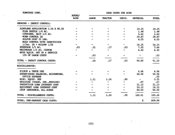| TUMATOES CONT.                                      |      | CASH COSTS PER ACRE<br>HOURS/ |         |                  |                                                     |                               |  |
|-----------------------------------------------------|------|-------------------------------|---------|------------------|-----------------------------------------------------|-------------------------------|--|
|                                                     | ACRE | <b>LABOR</b>                  | TRACTOR | <b>IMPLT.</b>    | MATERIAL                                            | <b>TOTAL</b>                  |  |
| GROWING - INSECT CONTROL:                           |      |                               |         |                  |                                                     |                               |  |
| AIRPLANE APPLICATION 3.5X @ \$5.50                  |      |                               |         |                  | 19.25                                               | 19.25                         |  |
| FLEA BEETLE 1/4 AC.                                 |      |                               |         |                  | 1.48                                                | 1.48                          |  |
| CUIWORMS, BAIT 1/4 AC.                              |      |                               |         |                  | 5.60                                                | 5.60                          |  |
| WORM CONTROL 2X                                     |      |                               |         |                  | 29.87                                               | 29.87                         |  |
| SULFUR DUST 35 LBS.                                 |      |                               |         |                  | 4.55                                                | 4.55                          |  |
| MOLD CONTROL WITH INSECTICIDE                       |      |                               |         |                  |                                                     |                               |  |
| $1/3ac$ . 2X + MIIDEW $1/2X$                        |      |                               |         |                  | 16.25                                               | 16.25                         |  |
| ETHEPHON 1/5 AC.                                    | .03  | .21                           | .17     | .03              | 7.25                                                | 7.66                          |  |
| WHITEWASH 1/5 AC. CUSTOM                            |      |                               |         |                  | 6.40                                                | 6.40                          |  |
| MOVE EQUIP. SET UP & SERVICE                        |      |                               |         |                  |                                                     |                               |  |
| 15% OF LABOR COSTS                                  |      | .03                           |         |                  |                                                     | .03                           |  |
| TOTAL - INSECT CONTROL COSTS:                       |      | .24                           | .17     | .03              | 90.65                                               | 91.10                         |  |
| MISCELLANEOUS:                                      |      |                               |         |                  |                                                     |                               |  |
| PICKUP & TRUCK USE                                  |      |                               |         |                  | 4.96                                                | 4.96                          |  |
| SUPERVISORS SALARIES, ACCOUNTING,<br>OFFICE EXPENSE |      |                               |         |                  | 50.96                                               | 50.96<br>.00                  |  |
| MISC. EQUIP. USE                                    |      | 1.11                          | 1.24    | .90 <sub>1</sub> | $\frac{1}{2}$ and $\frac{1}{2}$ . The $\frac{1}{2}$ | 3.25                          |  |
| BUILDING (TAXES, INS., REPAIRS)                     |      |                               |         |                  | $^{\circ}$ -67                                      | $\overline{\phantom{0}}$ . 67 |  |
| PRODUCTION LOAN INTEREST COST                       |      |                               |         |                  | 31.10                                               | 31.10                         |  |
| EQUIPMENT LOAN INTEREST COST                        |      |                               |         |                  | 14.32                                               | 14.32                         |  |
| CROP INSURANCE, ALL ACRES                           |      |                               |         |                  | 60.00                                               | 60.00                         |  |
| TOTAL - MISCELLANEOUS COSTS:                        |      | 1.11                          | 1.24    | .90              | 162.01                                              | 165.26                        |  |
| TOTAL, PRE-HARVEST CASH COSTS:                      |      |                               |         |                  | \$.                                                 | 809.08                        |  |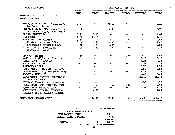| TUMATUES CUNT.                                                       | HOURS/      | CASH COSTS PER ACRE          |         |        |          |              |  |
|----------------------------------------------------------------------|-------------|------------------------------|---------|--------|----------|--------------|--|
|                                                                      | <b>ACRE</b> | LABOR                        | TRACTOR | IMPLT. | MATERIAL | <b>TOTAL</b> |  |
| HARVEST EXPENSE:                                                     |             |                              |         |        |          |              |  |
| NEW MACHINE 3/4 AC. (7 AC./SHIFT)<br>(TWO 10 HR. SHIFTS)             | 1.07        |                              | 31.10   |        |          | 31.10        |  |
| OLD MACHINE 1/4 AC. (7 AC./SHIFT)<br>(ONE 10 HR. SHIFT, PART SEASON) | .36         |                              | 17.96   |        |          | 17.96        |  |
| DRIVER, HARVESTER                                                    | 1.43        | 10.07                        |         |        |          | 10.07        |  |
| <b>6 SORTERS</b>                                                     | 8.58        | 43.16                        |         |        |          | 43.16        |  |
| 4 DOLLIES (5TH WHEELS)                                               | 2.50        | $\qquad \qquad \blacksquare$ |         | .80    |          | .80          |  |
| $(2)$ TRACTOR & DRIVER $3/4$ AC.                                     | 2.14        | 13.63                        | 14.38   | $\sim$ |          | 28.01        |  |
| (1) TRACTOR & DRIVER 1/4 AC.                                         | .36         | 2.29                         | 2.94    |        |          | 5.24         |  |
| AVENUE OPENER 7% OF ACRES<br>(TRACTOR & DRIVER)                      | .10         | .70                          | .82     | .35    |          | 1.87         |  |
| <b>LIGHTING SYSTEM</b>                                               | .54         |                              |         | 2.03   |          | 2.03         |  |
| MISC.EQUIP.\$40/DAY X 18 AC./DAY                                     |             |                              |         |        | 2.22     | 2.22         |  |
| MISC. SUPPLIES \$25/DAY                                              |             |                              |         |        | 1.39     | 1.39         |  |
| TOILET FACILITIES                                                    |             |                              |         |        | .37      | .37          |  |
| <b>INSPECTION FEES</b>                                               |             |                              |         |        | 5.75     | 5.75         |  |
| MISC. (ASSN., CIRI, LF.HOP., 26c/TON)                                |             |                              |         |        | 6.50     | 6.50         |  |
| REJECT LOADS 1% DIRECT HARV.COSTS                                    |             |                              |         |        | 1.38     | 1.38         |  |
| PICKUP & TRUCK USE                                                   |             |                              |         |        | 2.48     | 2.48         |  |
| SUPERVISORS SALARIES, ACCOUNTING,<br>OFFICE EXPENSE                  |             |                              |         |        | 25.48    | 25.48        |  |
| BUILDING (TAXES, INS., REPAIRS)                                      |             |                              |         |        | .33      | .33          |  |
| MISC. EQUIP. USE (LOW BED, ETC)                                      |             | .55                          | .62     | .45    |          | 1.62         |  |
| EQUIP. IOAN INTEREST COST                                            |             |                              |         |        | 14.32    | 14.32        |  |
| MOVE EQUIP., SET UP, SERVICE &<br>CLEAN @ 15% OF IABOR (~SORTERS)    |             | 4.09                         |         |        |          | 4.09         |  |
| TOTAL CASH HARVEST COSTS:                                            |             | 74.49                        | 67.83   | 3.63   | 60.22    | 206.17       |  |

|                         | TOTAL HARVEST COSTS |   |        |
|-------------------------|---------------------|---|--------|
| CASH HARVEST COSTS      |                     |   | 206.17 |
| EOUIP. (INT. & DEPREC.) |                     |   | 90.32  |
|                         |                     |   |        |
| <b>TOTAL:</b>           |                     | s | 296.49 |
|                         |                     |   |        |

 $(23)$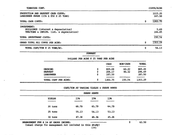| TOMATOES CONT.                                                                                        |    | COSTS/ACRE        |
|-------------------------------------------------------------------------------------------------------|----|-------------------|
| PRODUCTION AND HARVEST CASH COSTS:<br>IANDOWNER SHARE (15% X \$50 X 25 TONS)                          |    | 1015.25<br>187.50 |
| TOTAL CASH COSTS:                                                                                     | \$ | 1202.75           |
| <b>INVESTMENT:</b><br>BUIIDINGS (interest & depreciation)<br>TRACTORS & IMPLTS. (int. & depreciation) |    | 5.69<br>144.85    |
| TOTAL INVESTMENT COSTS:                                                                               |    | 150.54            |
| GRAND TOTAL ALL COSTS PER ACRE:                                                                       | S  | 1353.29           |
| TOTAL COST/TON @ 25 TONS/AC.                                                                          | \$ | 54.13             |

#### **SUMMARY**

#### DOLLARS PER ACRE @ 25 TONS PER ACRE

|                                                                                                               |   | CASH<br>والترافي المناقص المتبادل فالتأنسات | NON-CASH<br>استبا مائك سنلبذ بالكار ليكتب بكفر بالقرير معاذر | TOTAL<br>-------                              |  |
|---------------------------------------------------------------------------------------------------------------|---|---------------------------------------------|--------------------------------------------------------------|-----------------------------------------------|--|
| <b>GROWING</b>                                                                                                | s | 809.08                                      | 60.22                                                        | 869.29                                        |  |
| HARVEST                                                                                                       | s | 206.17                                      | 90.32                                                        | 296.49                                        |  |
| <b>LANDOWNER</b>                                                                                              | S | 187.50                                      |                                                              | 187.50                                        |  |
| لبكيب بالملاقين فالقرار وبالقريشان والمستحيل والمتواجب ويسترجعون ويسترج ويستر فينتبذ ويهابه والمتبار والتنازل |   | وبطأة والكافئة والتراكية بارتقاد ليلقيا     |                                                              | dente terminata indicat del colori del colori |  |
| TOTAL COST PER ACRE:                                                                                          | S | 1202.75                                     | 150.54                                                       | 1353.29                                       |  |

#### COST/TON AT VARYING YIELDS  $\&$  SHARE RENTS

| <b>YIEIDS</b>                        | 178<br>والمتبنات والانتقال باستادفت | 158                                                           | 138   |   |       |  |
|--------------------------------------|-------------------------------------|---------------------------------------------------------------|-------|---|-------|--|
| 20 tons                              | 66.79                               | 65.79                                                         | 64.79 |   |       |  |
| 25 tons                              | 55.13                               | 54.13                                                         | 53.13 |   |       |  |
| 30 tons                              | 47.36                               | 46.36                                                         | 45.36 |   |       |  |
| MANAGEMENT FEE @ 5% OF GROSS INCOME: |                                     | ن بالرابط المراس التي يعني التي يوجه التي التي المراس التي يو |       | s | 62.50 |  |

MANAGEMENT FEE @ 5% OF GROSS INCOME:

(usual charge for management not included in this study)

62.50

 $(24)$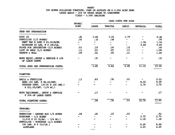#### WHFAT

### 900 ACRES FOLLOWING TOMATOES, CORN OR ALFALFA ON A 2,900 ACRE FARM

#### LEASE BASIS - 25% OF GROSS SALES TO LANDOWNER

 $\sim$ 

YIEID - 5, 500 LB.S/ACRE

|                                                                   | HOURS/<br>ACRE           |                          |                          | CASH COSTS PER ACRE      |                          |       |
|-------------------------------------------------------------------|--------------------------|--------------------------|--------------------------|--------------------------|--------------------------|-------|
|                                                                   |                          | <b>LABOR</b>             | <b>TRACTOR</b>           | IMPLT.                   | <b>MATERIAL</b>          | TOTAL |
| SEED BED PREPARATION                                              |                          |                          |                          |                          |                          |       |
| DISC <sub>2X</sub>                                                | .26                      | 1.66                     | 3.03                     | 1.79                     |                          | 6.48  |
| FERTILIZE (1/2 ACRES)                                             | .05                      | .32                      | .58                      | ⊷                        | $\overline{\phantom{m}}$ | .90   |
| RENT TAG A LONG @ \$3.00/ACRE                                     |                          | $\div$                   | $\overline{\phantom{a}}$ | $\overline{\phantom{a}}$ | 1.50                     | 1.50  |
| NITROGEN 80 IBS. N @ 24C/IB.                                      | $\overline{\phantom{0}}$ | $\overline{\phantom{0}}$ | $\overline{\phantom{0}}$ | $\overline{\phantom{a}}$ | 9.60                     | 9.60  |
| RIDGE FOR IRRIGATION (1/2 ACRES)                                  | .03                      | .19                      | .20                      | .10                      | $\overline{\phantom{0}}$ | .49   |
| LIST UP BEDS (1/2 ACRES)                                          | .13                      | $-83$                    | .87                      | .17                      |                          | 1.88  |
| HARROW & ROLL                                                     | .08                      | .51                      | .93                      | .41                      | ÷                        | 1.86  |
| MOVE EQUIP., SETUP & SERVICE @ 10%<br>OF LABOR COSTS              |                          | .35                      |                          |                          |                          | .35   |
| TOTAL SEED BED PREPARATION COSTS:                                 |                          | 3.85                     | 5.62                     | 2.48                     | 11.10                    | 23.06 |
| PLANTING                                                          |                          |                          |                          |                          |                          |       |
| DRILL & FERTILIZE                                                 | .13                      | .83                      | .76                      | .93                      |                          | 2.52  |
| SEED 100 LBS. @ \$8.00/ONT.                                       |                          |                          |                          |                          | 8.00                     | 8.00  |
| STARTER FERT. (16-20 @ 100 LBS.)<br>$\ell$ \$11.05/OWT. (1/4 AC.) |                          |                          |                          |                          | 2.76                     | 2.76  |
| MOVE EQUIPMENT., SETUP & SERVICE<br>@ 20% OF LABOR COSTS          |                          | $-17$                    |                          |                          |                          | .17   |
| TOTAL PLANTING COSTS:                                             |                          | .99                      | .76                      | .93                      | 10.76                    | 13.45 |
| GROWING:                                                          |                          |                          |                          |                          |                          |       |
| HERBICIDE - GROUND RIG 1/4 ACRES                                  | .04                      | .25                      | .23                      | .03                      |                          | .52   |
| AIRPLANE $-1/2$ ACRES                                             |                          |                          |                          |                          | 2.75                     | 2.75  |
| $(2, 4-D \& 10 \text{ OZ/AC.} - 3/4 \text{ AC.})$                 |                          |                          |                          |                          | 1.18                     | 1.18  |
| FERTILIZE - TOPDRESS $(1/2$ ACRES)<br>$(40$ LBS. N $(31c/1B.)$    |                          |                          |                          |                          | 6.20                     | 6.20  |
| AIRPLANE                                                          |                          |                          |                          |                          | 2.25                     | 2.25  |
|                                                                   |                          | (25)                     |                          |                          |                          |       |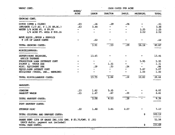| WHEAT CONT.                                                 | HOURS/<br>ACRE | CASH COSTS PER ACRE |                |                 |                          |              |  |
|-------------------------------------------------------------|----------------|---------------------|----------------|-----------------|--------------------------|--------------|--|
|                                                             |                | <b>LABOR</b>        | <b>TRACTOR</b> | IMPLT.          | <b>MATERIAL</b>          | <b>TOTAL</b> |  |
| GROWING CONT.                                               |                |                     |                |                 |                          |              |  |
| DITCH (OPEN & CLOSE)                                        | .03            | .16                 | .29            | .06             |                          | .51          |  |
| IRRIGATE (1/2 AC. @ 1.25 HR.AC.)                            | .63            | 3.48                |                |                 |                          | 3.48         |  |
| WATER 1/4 ACRE FT. @ \$9.99                                 |                | ł                   |                |                 | 1,25                     | 1.25         |  |
| 1/4 ACRE FT. WELL @ \$20.16                                 |                |                     |                |                 | 2.52                     | 2.52         |  |
| MOVE EQUIP., SETUP & SERVICE                                |                |                     |                |                 |                          |              |  |
| @ 15% OF LABOR COSTS                                        |                | .02                 |                |                 |                          | .02          |  |
| TOTAL GROWING COSTS:                                        |                | 3.91                | $-53$          | .09             | 16.14                    | 20.67        |  |
| MISCELLANEOUS:                                              |                |                     |                |                 |                          |              |  |
|                                                             |                |                     |                |                 |                          |              |  |
| SUPERVISORS SALARIES,<br>OFFICE EXPENSE                     |                | 13.45               |                |                 |                          | 13,45        |  |
| PRODUCTION LOAN INTEREST COST                               |                |                     |                |                 | 5.95                     | 5.95         |  |
| PICKUP & TRUCK USE                                          |                |                     | 1.31           |                 | ÷                        | 1.31         |  |
| MISC. EQUIPMENT USE                                         |                | .29                 | .33            | .24             | $\overline{\phantom{a}}$ | .86          |  |
| <b>EQUIP.LOAN INTERST COST</b>                              |                |                     |                |                 | 5.87                     | 5.87         |  |
| BUILDINGS (TAXES, INS., REPAIRS)                            |                |                     |                |                 | 1.00                     | 1.00         |  |
| TOTAL MISCELLANEOUS COSTS:                                  |                | 13.75               | 1.64           | $-24$           | 12.82                    | 28.44        |  |
| HARVEST:                                                    |                |                     |                |                 |                          |              |  |
| COMBINE                                                     | .23            | 1.62                | 5.35           |                 |                          | 6.97         |  |
| BANKOUT WAGON                                               | .23            | 1.47                | .67            | .28             |                          | 2.41         |  |
| TOTAL HARVEST COSTS:                                        |                | 3.08                | 6.03           | $\overline{28}$ |                          | 9.39         |  |
| POST HARVEST COSTS:                                         |                |                     |                |                 |                          |              |  |
| STUBBLE DISC                                                | $-22$          | 1.40                | 3.65           | 2.07            |                          | 7.12         |  |
| TOTAL CULTURAL AND HARVEST COSTS:                           |                |                     |                |                 | \$                       | 102.12       |  |
| SHARE RENT (25% OF GROSS INC.) (55 CWT. @ \$3.75/CWT. X.25) |                |                     |                |                 |                          | 51.56        |  |
| (ASCS defic. payment not included)<br>TOTAL CASH COSTS:     |                |                     |                |                 | \$                       | 153.69       |  |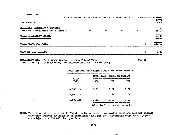WHEAT CONT.

|                                                              |  |         | TOTAL         |
|--------------------------------------------------------------|--|---------|---------------|
| <b>INVESTMENT:</b>                                           |  |         |               |
| BUILDINGS (INTEREST & DEPREC.)                               |  |         |               |
| TRACTORS & IMPLEMENTS (INT. & DEPRE.)                        |  |         | 5.69<br>21.14 |
|                                                              |  |         |               |
| TOTAL INVESTMENT COSTS:                                      |  |         | 26.83         |
|                                                              |  |         |               |
| TOTAL COSTS PER ACRE:                                        |  | S       | 180.52        |
| COST PER 100 WEIGHT:                                         |  | \$      | 3.28          |
| MANAGEMENT FEE: (5% of gross income - 55 cwt. @ \$3.75/cwt.) |  | \$10.31 |               |

(usual charge for management, not included as a cost in this study)

COST PER CWT. AT VARYING YIEIDS AND SHARE RENTALS

|                             |      | Crop Share Rental in Percent |      |  |  |  |  |
|-----------------------------|------|------------------------------|------|--|--|--|--|
| <b>CROP</b><br><b>YIELD</b> | 30%  | 258                          | 208  |  |  |  |  |
| 4,500 lbs                   | 3.99 | 3.80                         | 3.62 |  |  |  |  |
| 5,500 lbs                   | 3.47 | 3.28                         | 3.09 |  |  |  |  |
| $6,500$ lbs                 | 3.11 | 2.92                         | 2.73 |  |  |  |  |
|                             | .    | . .                          | .    |  |  |  |  |

(Cost in \$ per hundred weight)

NOTE: The estimated crop price of \$3.75/cwt. is the projected free market price and does not include government support estimated at an additional \$3.50 per owt. Government crop support payments are subject to a \$50,000 limit per farm.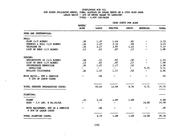#### SUNFLOWERS FOR OTT. 600 ACRES FOLLOWING WHEAT, CORN, ALFALFA OR SUGAR BEETS ON A 2900 ACRE FARM LEASE BASIS - 20% OF GROSS SALES TO LANDLORD YIEID -  $2,400$  LBS/ACRE

CASH COSTS PER ACRE HOURS/ ACRE **LABOR** TRACTOR IMPLT. **MATERIAL TOTAL** SEED BED PREPARATION: FALL: PLOW  $(1/2$  ACRES)  $3.72$  $.20$  $1.27$  $1.64$  $.81$  $3.32$ SUBSOIL & ROLL (1/2 ACRES)  $-20$  $1.27$ - 94 5.53 TRIPLANE 2X  $2.17$  $3.97$  $1.23$ 7.37  $.34$ LIST UP BEDS (1/2 ACRES)  $.87$  $.17$ 1.88  $.13$  $.83$ **SPRING:** SPRINGTOOTH 2X (1/2 ACRES)  $.93$  $.39$ 1.83  $.08$ 51ء LIST UP BEDS  $(1/2$  ACRES)  $.87$  $.13$  $.83$  $.17$ … 1.88 INCORPORATE HERBICIDE  $.20$ 2.96  $1.27$  $1.17$ 52ء  $\sim$  $\sim$   $$ and the 5.71  $5.71$ HERBICIDE  $\frac{1}{2}$  $1.27$  $1.17$ 2.96 ROLLING CULTIVATOR  $-20$  $.52$  $\overline{a}$  $.94$ MOVE EQUIP., SET & SERVICE  $.94$  $\overline{a}$  $\overline{\phantom{0}}$ ÷. @ 10% OF LABOR COSTS 13.94 4.76 5.71 55.60 34.78 TOTAL SEEDBED PREPARATION COSTS: .<br>Ing 1794 naha kalendar PLANTING: 5.88  $.33$  $2.32$ 1.89 1.68 PLANT 14.00 14.00 SEED - 3.5 LBS. @ \$4.00/LB.  $\sim$   $\sim$  $\overline{\phantom{0}}$  $.46$ MOVE EQUIPMENT, SET UP & SERVICE  $.46$  $\overline{\phantom{0}}$ н.  $\overline{\phantom{a}}$ **Contract Contract State** @ 20% OF LABOR COSTS ----- $14.00 -$ 1.68 1.89 20.35 TOTAL PLANTING COSTS: 2.79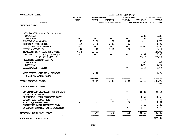| SUNFLOWERS CONT.                                     |                | CASH COSTS PER ACRE      |                          |                          |                          |        |  |
|------------------------------------------------------|----------------|--------------------------|--------------------------|--------------------------|--------------------------|--------|--|
|                                                      | HOURS/<br>ACRE | <b>LABOR</b>             | TRACTOR                  | IMPLT.                   | MATERIAL                 | TOTAL  |  |
| GROWING COSTS:                                       |                |                          |                          |                          |                          |        |  |
| CUTWORM CONTROL (10% OF ACRES)                       |                |                          |                          |                          |                          |        |  |
| <b>MATERIAL</b>                                      |                |                          |                          |                          | 2.25                     | 2.25   |  |
| <b>AIRPLANE</b>                                      |                |                          |                          |                          | .55                      | .55    |  |
| ROLLING CULTIVATOR                                   | .17            | 1.08                     | 99.                      | .72                      |                          | 2.79   |  |
| FURROW & SIDE DRESS                                  | .29            | 1.85                     | 1.95                     | .50                      |                          | 4.30   |  |
| 100 LBS. N @ 24c/LB.                                 |                | $\overline{\phantom{a}}$ | $\overline{\phantom{m}}$ | $\overline{\phantom{a}}$ | 24.00                    | 24.00  |  |
| DITCH & CLOSE 2X                                     | .10            | .70                      | 1.17                     | .24                      | $\blacksquare$           | 2.11   |  |
| IRRIGATE 4X @ 1.25 HRS./ACRE                         | 5.00           | 27.80                    |                          | Ξ.                       | $\overline{\phantom{a}}$ | 27.80  |  |
| WATER 1.0 AC.FT.0 \$9.99/FT.                         | -              | -                        |                          |                          | 9.99                     | 9.99   |  |
| 1.0 AC.FT.@ \$20.16                                  |                |                          |                          |                          | 20.16                    | 20.16  |  |
| HEADMOTH CONTROL 15% AC.                             |                |                          |                          |                          |                          |        |  |
| AIRPLANE                                             |                |                          |                          |                          | .83                      | .83    |  |
| MATERIAL                                             |                |                          |                          |                          | 1.73                     | 1.73   |  |
| POLLINATION - BEES                                   |                |                          |                          |                          | 2.67                     | 2.67   |  |
| MOVE EQUIP., SET UP & SERVICE<br>@ 15% OF IABOR COST |                | 4.72                     |                          |                          |                          | 4.72   |  |
| TOTAL GROWING COSTS:                                 |                | 36.15                    | 4.11                     | 1.46                     | 62.18                    | 103.90 |  |
|                                                      |                |                          |                          |                          |                          |        |  |
| MISCELLANEOUS COSTS:                                 |                |                          |                          |                          |                          |        |  |
| SUPERVISORS SALARIES, ACCOUNTING,<br>OFFICE EXPENSE  |                |                          |                          |                          | 21.46                    | 21.46  |  |
| PRODUCTION LOAN INTEREST COST                        |                |                          |                          |                          | 11.60                    | 11.60  |  |
| PICKUP AND TRUCK USE                                 |                |                          |                          |                          | 2.09                     | 2.09   |  |
| MISC. EQUIPMENT USE                                  |                | .47                      | .52                      | .38                      | $\frac{1}{2}$            | 1.37   |  |
| EQUIPMENT LOAN INTEREST COST                         |                |                          |                          |                          | 9.87                     | 9.87   |  |
| BUIIDING (TAXES, INS., REPAIRS)                      |                |                          |                          |                          | 1.00                     | 1.00   |  |
| MISCELLANEOUS CASH COSTS:                            |                | $-47$                    | .52                      | .38                      | 46.02                    | 47.39  |  |
| PREHARVEST CASH COSTS:                               |                |                          |                          |                          |                          | 206.42 |  |
|                                                      |                |                          |                          |                          |                          |        |  |

 $(29)$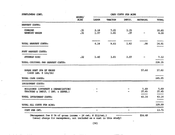| SUNFLOWERS CONT.                                                          |                |                          | CASH COSTS PER ACRE |             |                                |                                           |  |  |  |
|---------------------------------------------------------------------------|----------------|--------------------------|---------------------|-------------|--------------------------------|-------------------------------------------|--|--|--|
|                                                                           | HOURS/<br>ACRE | <b>LABOR</b>             | TRACTOR             | IMPLT.      | MATERIAL                       | TOTAL                                     |  |  |  |
| HARVEST COSTS:                                                            |                |                          |                     |             |                                |                                           |  |  |  |
| <b>COMBINE</b><br>BANKOUT WAGON                                           | .31<br>.31     | 2.18<br>1.97             | 7.21<br>1.81        | 1.25<br>.37 |                                | 10.65<br>4.16                             |  |  |  |
| TOTAL HARVEST COSTS:                                                      |                | 4.16                     | 9.03                | 1.62        | .00                            | 14.81                                     |  |  |  |
| POST HARVEST COSTS:                                                       |                |                          |                     |             |                                |                                           |  |  |  |
| STUBBLE DISC                                                              | .22            |                          | $1.40$ $3.65$       | 2.07        |                                | 7.12                                      |  |  |  |
| TOTAL CULTURAL AND HARVEST COSTS:                                         |                |                          |                     |             |                                | 228.35                                    |  |  |  |
| SHARE RENT 20% OF GROSS<br>$(2400$ LBS. $\theta$ 12c/lb)                  |                |                          |                     |             | 57.60                          | 57.60                                     |  |  |  |
| TOTAL CASH COSTS:                                                         |                |                          |                     |             |                                | .<br>2010 - 10 cm anns chin eta<br>285.95 |  |  |  |
| INVESTMENT COSTS:                                                         |                |                          |                     |             |                                |                                           |  |  |  |
| BUILDINGS (INTEREST & DEPRECIATION)<br>TRACTORS & IMPLT. (INT. & DEPRE.)  |                |                          |                     |             | 5.69<br>37.45<br>مستحيد سيدوسه | 5.69<br>37.45                             |  |  |  |
| TOTAL INVESTMENT COSTS:                                                   |                |                          |                     |             | 43.14                          | 43.14                                     |  |  |  |
| TOTAL ALL COSTS PER ACRE:                                                 |                |                          |                     |             |                                | ,,,,,,,,,,,,,,,<br>329.09                 |  |  |  |
| COST PER CWT.                                                             |                | $\overline{\phantom{a}}$ |                     |             |                                | 13.71                                     |  |  |  |
| (Management fee $\theta$ 5% of gross income - 24 cwt. $\theta$ \$12/cwt.) |                |                          |                     |             | \$14.40                        |                                           |  |  |  |

(usual charge for management, not included as a cost in this study)

 $\sim$   $\sim$ 

Ť

(30)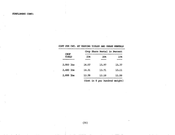|             |               | COST PER CWT. AT VARYING YIELDS AND SHARE RENTAIS |       |
|-------------|---------------|---------------------------------------------------|-------|
| <b>CROP</b> |               | Crop Share Rental in Percent                      |       |
| YIHD        | 25%<br>------ | 20%                                               | 15%   |
| $2,000$ lbs | 16.57         | 15.97                                             | 15.37 |
| $2,400$ lbs | 14,31         | 13.71                                             | 13.11 |
| $2,800$ lbs | 12.70         | 12.10                                             | 11.50 |
|             |               | (Cost in \$ per hundred weight)                   |       |

#### COST PER OVT. AT VARYING YIEIDS AND SHARE RENTALS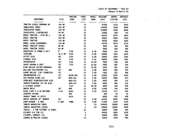COSTS OF EQUIPMENT - YOLO COi (Annual & Hourly Co:

رائيل<br>د الله

t, s

 $\mathbf{r}$ 

 $\sim$ 

 $\cdot$ 

 $\mathcal{L}$ 

 $\mathcal{L}$ 

 $\epsilon$ s.

٠,

| <b>EQUIPMENT</b>                | SIZE             | <b>TRACTOR</b><br><b>USED</b> | YEARS<br><b>LIFE</b> | ACRES/<br>HOUR | ORIGINAL<br><b>COST</b> | DEPRE-<br>CIATION | INTEREST<br><b>COST</b> |
|---------------------------------|------------------|-------------------------------|----------------------|----------------|-------------------------|-------------------|-------------------------|
| TRACTOR (USED) DRAWBAR HP       | ------<br>144 HP |                               | -----<br>15          | -------        | <br>47000               | --------<br>3133  | 2820                    |
| TRACKLAYER (NEW)                | 125 HP           |                               | 15                   |                | 114000                  | 7600              | 6840                    |
| TRACKLAYER (NEW)                | 125 HP           |                               | 15                   |                | 114000                  | 7600              | 6840                    |
| TRACKLAYER, LIGHTWEIGHT         | 50 HP            |                               | 15                   |                | 12000                   | 800               | 720                     |
| WHEEL TRACTOR - (PTO HP.)       | 165 HP           |                               | 10                   |                | 63700                   | 6370              | 3822                    |
| WHEEL TRACTOR                   | 135 HP           |                               | 10                   |                | 54000                   | 5400              | 3240                    |
| WHEEL TRACTOR                   | 135 HP           |                               | 10                   |                | 54000                   | 5400              | 3240                    |
| WHEEL (HIGH CLEARANCE)          | 110 HP           |                               | 10                   |                | 45700                   | 4570              | 2742                    |
| WHEEL TRACTOR (USED)            | 90 HP            |                               | 10                   |                | 5000                    | .500              | 300                     |
| WHEEL TRACTOR (USED)            | 90 HP            |                               | 10                   |                | 5000                    | 500               | 300                     |
| SUBSOILER (3 SHANK X 24")       | 8'               | T144                          | 15                   | 2.50           | 8000                    | 533               | 480                     |
| TRIPLANE                        | 16 X 40'         | T125                          | 15                   | 6.00           | 20000                   | 1333              | 1200                    |
| <b>OFFSET DISC</b>              | 26'              | <b>T125</b>                   | 15                   | 8.00           | 18000                   | 1200              | 1080                    |
| STUBBLE DISC                    | 14 <sup>3</sup>  | T144                          | 15                   | 4.50           | 24000                   | 1600              | 1440                    |
| <b>SPRINGTOOTH</b>              | $32^*$           | T125                          | 15                   | 12.00          | 7800                    | 520               | 468                     |
| SWEDE HARROW & CART             | 32 <sup>1</sup>  | <b>T125</b>                   | 15                   | 12.00          | 7600                    | 507               | 456                     |
| RING ROLLER (AFTER HARROWS)     | 32 <sup>1</sup>  |                               | 15                   | 12.00          | 5500                    | 367               | 330                     |
| ROLLING CULTIVATORS (2)         | 16'              | W90                           | 15                   | 5.00           | 3000                    | 200               | 180                     |
| LARGE ROLLER (36" DIAMETER)     | 12 <sup>1</sup>  |                               | 15                   | 2.50           | 7800                    | 520               | 468                     |
| INCORPORATOR (2)                | 15 <sup>t</sup>  | W135-165                      | 10                   | 2.50           | 21000                   | 2100              | 1260                    |
| CULTIVATOR SLEDS (6)            | 16'              | W90-135                       | 15                   | 3,50           | 16200                   | 1080              | 972                     |
| CORN-BEET PLANTERS(6)ON SLED    |                  | W90-135                       | 15                   | 3,00           | 6900                    | 460               | 414                     |
| TOMATO PLANTERS (6) ON SLED     |                  | W90-135                       | 15                   | 3.00           | 6900                    | 460               | 414                     |
| <b>V DITCHER (USED)</b>         |                  | T125                          | 15                   | 20.00          | 4800                    | 320               | 288                     |
| <b>GRAIN DRILL</b>              | $20^{\circ}$     | W90                           | 15                   | 8,00           | 11400                   | 760               | 684                     |
| PLOW 2 WAY X 5-16 BOTTOMS       | $5 - 16$         | ₩165                          | 15                   | 2.50           | 10150                   | 677               | 609                     |
| SPRAYER SYSTEM                  |                  | W90                           | 15                   |                | 500                     | 33                | 30                      |
| SADDLE TANKS (4 SETS)           |                  | W135                          | 15                   |                | 6800                    | 453               | 408                     |
| GRAIN COMBINE 20' HEADER        | $20*$            |                               | 10                   | 4.50           | 84300                   | 8430              | 5058                    |
| CORN HEADER - 8 ROW             | 8 ROW            | COMB.                         | 10                   | 5.00           | 21300                   | 2130              | 1278                    |
| TOMATO HARVESTOR (NEW)          |                  |                               | 5                    | .70            | 140000                  | 28000             | 8400                    |
| TOMATO HARVESTOR (USED)         |                  |                               | 5                    | .70            | 60000                   | 12000             | 3600                    |
| TRUCKS - 2 TON FLATBED (2 USED) |                  |                               | 10                   |                | 16000                   | 1600              | 960                     |
| PICKUPS 3/4 TON (2)             |                  |                               | 5                    |                | 20000                   | 4000              | 1200                    |
| PICKUPS, COMPACT (2)            |                  |                               | 5                    |                | 15000                   | 3000              | 900                     |
| LOWBED W/TRACTOR (USED)         |                  |                               | 15                   |                | 15000                   | 1000              | 900                     |

 $\cdot$ 

 $\overline{a}$ 

 $\cdots$ 

(32)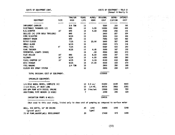$\sim$ 

 $\sim$ 

{Annual & Hourly Cc

 $\label{eq:2} \begin{split} \mathcal{L}_{\text{eff}}(\mathcal{L}_{\text{eff}}(\mathbf{r},\mathbf{r},\mathbf{r},\mathbf{r},\mathbf{r},\mathbf{r},\mathbf{r},\mathbf{r},\mathbf{r},\mathbf{r},\mathbf{r},\mathbf{r},\mathbf{r},\mathbf{r},\mathbf{r},\mathbf{r},\mathbf{r},\mathbf{r},\mathbf{r},\mathbf{r},\mathbf{r},\mathbf{r},\mathbf{r},\mathbf{r},\mathbf{r},\mathbf{r},\mathbf{r},\mathbf{r},\mathbf{r},\mathbf{r},\mathbf{r},$ 

 $\mathcal{G}^{(1)} \times \mathcal{G}^{(2)}$  $\mathcal{L}^{\text{max}}_{\text{max}}$  and  $\mathcal{L}^{\text{max}}_{\text{max}}$ 

 $2\%$  and  $\%$  $\mathcal{F}_{\text{cusp}}$  .

 $\langle\cdot,\cdot\rangle_{1,2}$  , and

 $\sim 10^{-10}$   $M_{\odot}$  $\sim 10^{-11}$ 

 $\mathcal{F}_{\text{max}}$  $\alpha \sim 10^6$  $\mathcal{L}_{\text{cav}}$ 

 $\lambda_1 = \lambda_2$ 

 $\propto \frac{1}{2} \sigma^2$ 

 $\sim 100$  km s  $^{-1}$ 

 $\sim$ 

 $\gamma_{2,1,1,2}$  .

**Sales** 

 $\sim 100$  $\sim 10^{-11}$ 

 $\sim$  100  $\sim$  $\sim 10^{-11}$ 

 $\begin{pmatrix} \mathbf{v} & \mathbf{v} \\ \mathbf{v} & \mathbf{v} \\ \mathbf{v} & \mathbf{v} \end{pmatrix}$ 

 $\frac{1}{2}$ 

 $\lesssim$ 

 $\bar{z}$ 

 $\sim$ 

 $\sim$   $\sim$ 

 $\mathcal{L}_{\mathcal{A}}$  $\alpha = \alpha - 1$   $\sim 12\%$ 

|                                                                                                |                 | <b>TRACTOR</b> | YEARS          | ACRES/                 | ORIGINAL    | DEPRE-  | <b>INTEREST</b> |
|------------------------------------------------------------------------------------------------|-----------------|----------------|----------------|------------------------|-------------|---------|-----------------|
| <b>EQUIPMENT</b>                                                                               | SIZE            | <b>USED</b>    | <b>LIFE</b>    | HOUR                   | <b>COST</b> | CIATION | <b>COST</b>     |
| ---------                                                                                      | -----           | -------        | -----          | --------               | -------     | ------- |                 |
| IMPLEMENT CARRIER                                                                              |                 | 3/4 TON        | 15             |                        | 5000        | 333     | 300             |
| ELECTRONIC THINNERS (2)                                                                        |                 | W90            | 10             | 3.00                   | 10000       | 1000    | 600             |
| <b>B.G.SCRAPER</b>                                                                             | 10 <sup>1</sup> | <b>W90</b>     | 10             | 4.00                   | 2500        | 250     | 150             |
| DOLLIES (4) (FOR BULK TRAILERS)                                                                |                 | <b>N90</b>     | 15             |                        | 3400        | 227     | 204             |
| VINE DIVERTER                                                                                  |                 | W135           | 15             |                        | 5000        | 333     | 300             |
| <b>BANKOUT WAGON</b>                                                                           |                 | W90            | 15             |                        | 7800        | 520     | 468             |
| DITCH CLOSER                                                                                   |                 | <b>T125</b>    | 15             | 20.00                  | 5800        | 387     | 348             |
| ANGLE BLADE                                                                                    |                 | W135           | 15             |                        | 2600        | 173     | 156             |
| SMALL DISC                                                                                     | q'              | T125           | 15             |                        | 6500        | 433     | 390             |
| VINE TRAINER                                                                                   |                 | W135           | 15             | 4.00                   | 2500        | 167     | 150             |
| GENERATOR, LIGHTS (USED)                                                                       |                 |                | 15             | .00                    | 4500        | 300     | 270             |
| <b>FLAT ROLLER</b>                                                                             | 16 <sup>1</sup> | W90            | 15             | 8,00                   | 2500        | 167     | 150             |
| <b>ALLOWAY</b>                                                                                 | $16*$           | <b>W135</b>    | 10             | 6.00                   | 6000        | 600     | 360             |
| FLAIL CHOPPER 15'                                                                              | 15'             | W135           | 10             | 4.00                   | 8100        | 810     | 486             |
| DISC RIDGER                                                                                    |                 | W135           | 15             | 17.00                  | 4500        | 300     | 270             |
| FUEL WAGONS                                                                                    |                 | 3/4 TON        | 10             |                        | 2800        | 280     | 168             |
| CLOSED MIX SPRAY SYSTEM                                                                        |                 |                | 10             |                        | 2000        | 200     | 120             |
| TOTAL ORIGINAL COST OF EQUIPMENT:                                                              |                 |                |                |                        | 1153850     |         |                 |
| SPRINKLER EQUIPMENT:                                                                           |                 |                |                |                        |             |         |                 |
| *********************<br>1/4 MILE WHEEL MOVES, COMPLETE (6)                                    |                 |                |                | $10 \t2.4 \text{ ac}/$ | 81000       | 8100    | 4860            |
| 1-1/2 MILES, 8" MAIN LINE                                                                      |                 |                | 10             | $1/4$ MI.              | 38016       | 3802    | 2281            |
| 800 GPM PUMP WITH DIESEL ENGINE                                                                |                 |                |                | 10 line/set            | 13000       | 1300    | 780             |
| ADDITIONAL PIPE MOVERS (2 USED)                                                                |                 |                | $\overline{7}$ |                        | 2000        | 286     | 120             |
| IRRIGATION PUMPS & WELLS:                                                                      |                 |                |                |                        | 134016      |         |                 |
| (Not used in this cost study, listed only to show cost of pumping as compared to surface water |                 |                |                |                        |             |         |                 |
| WELL, 450 DEPTH, 16" OD CASING                                                                 |                 |                | 20             | 1350                   | 20800       | 1040    | 1248            |
| (gravel pack)                                                                                  |                 |                |                | (gpm)                  |             |         |                 |
| 75 HP PUMP, HOOKUP, WELL DEVELOPMENT                                                           |                 |                | 20             |                        | 17400       | 870     | 1044            |

 $\pm$